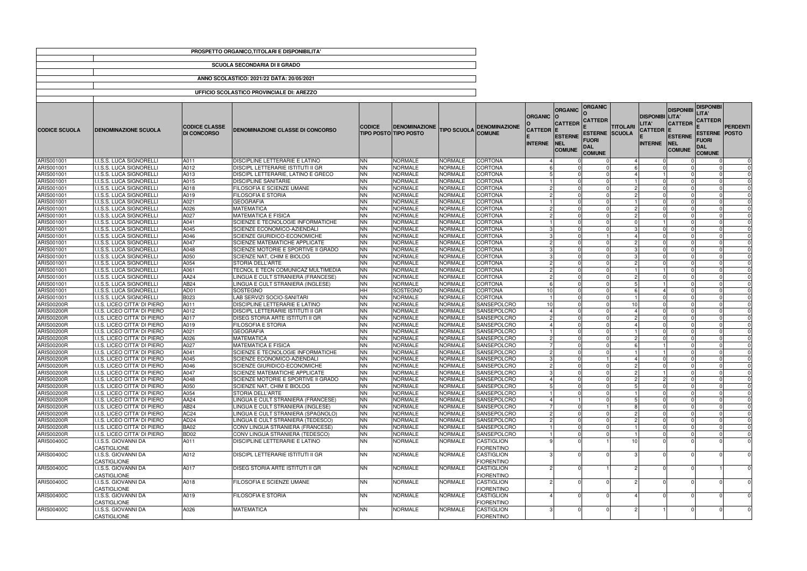|                          |                                                              |                                            | PROSPETTO ORGANICO, TITOLARI E DISPONIBILITA'   |                        |                                                      |                                  |                                        |                                    |                                               |                                                        |                       |                                        |                                                |                                                                     |                         |
|--------------------------|--------------------------------------------------------------|--------------------------------------------|-------------------------------------------------|------------------------|------------------------------------------------------|----------------------------------|----------------------------------------|------------------------------------|-----------------------------------------------|--------------------------------------------------------|-----------------------|----------------------------------------|------------------------------------------------|---------------------------------------------------------------------|-------------------------|
|                          |                                                              |                                            | <b>SCUOLA SECONDARIA DI II GRADO</b>            |                        |                                                      |                                  |                                        |                                    |                                               |                                                        |                       |                                        |                                                |                                                                     |                         |
|                          |                                                              |                                            | ANNO SCOLASTICO: 2021/22 DATA: 20/05/2021       |                        |                                                      |                                  |                                        |                                    |                                               |                                                        |                       |                                        |                                                |                                                                     |                         |
|                          |                                                              |                                            | UFFICIO SCOLASTICO PROVINCIALE DI: AREZZO       |                        |                                                      |                                  |                                        |                                    |                                               |                                                        |                       |                                        |                                                |                                                                     |                         |
|                          |                                                              |                                            |                                                 |                        |                                                      |                                  |                                        |                                    | <b>ORGANIC</b>                                | <b>ORGANIC</b>                                         |                       |                                        | <b>DISPONIBI</b>                               | <b>DISPONIBI</b>                                                    |                         |
|                          |                                                              |                                            |                                                 |                        |                                                      |                                  |                                        | <b>ORGANIC</b>                     | <b>CATTEDR</b>                                | <b>CATTEDR</b>                                         |                       | <b>DISPONIBI LITA'</b><br><b>LITA'</b> | <b>CATTEDR</b>                                 | LITA'<br><b>CATTEDR</b>                                             |                         |
| <b>CODICE SCUOLA</b>     | <b>DENOMINAZIONE SCUOLA</b>                                  | <b>CODICE CLASSE</b><br><b>DI CONCORSO</b> | DENOMINAZIONE CLASSE DI CONCORSO                | <b>CODICE</b>          | <b>DENOMINAZIONE</b><br><b>TIPO POSTO TIPO POSTO</b> | <b>TIPO SCUOLA</b>               | <b>DENOMINAZIONE</b><br><b>COMUNE</b>  | <b>CATTEDR E</b><br><b>INTERNE</b> | <b>ESTERNE</b><br><b>NEL</b><br><b>COMUNE</b> | <b>ESTERNE SCUOLA</b><br>FUORI<br>DAL<br><b>COMUNE</b> | <b>TITOLARI</b>       | <b>CATTEDR E</b><br><b>INTERNE</b>     | <b>ESTERNE</b><br><b>INEL</b><br><b>COMUNE</b> | <b>ESTERNE POSTO</b><br><b>FUORI</b><br><b>DAL</b><br><b>COMUNE</b> | PERDENTI                |
| ARIS001001               | I.I.S.S. LUCA SIGNORELLI                                     | A011                                       | DISCIPLINE LETTERARIE E LATINO                  | <b>NN</b>              | <b>NORMALE</b>                                       | <b>NORMALE</b>                   | <b>CORTONA</b>                         |                                    |                                               |                                                        | $\boldsymbol{\Delta}$ |                                        |                                                |                                                                     | 0                       |
| ARIS001001               | I.I.S.S. LUCA SIGNORELLI                                     | A012                                       | DISCIPL LETTERARIE ISTITUTI II GR               | <b>NN</b>              | <b>NORMALE</b>                                       | NORMALE                          | <b>CORTONA</b>                         |                                    |                                               |                                                        |                       |                                        |                                                |                                                                     | $\Omega$                |
| ARIS001001               | I.I.S.S. LUCA SIGNORELLI                                     | A013                                       | DISCIPL LETTERARIE, LATINO E GRECO              | <b>NN</b>              | <b>NORMALE</b>                                       | NORMALE                          | <b>CORTONA</b>                         |                                    |                                               |                                                        |                       |                                        |                                                |                                                                     | $\Omega$                |
| ARIS001001               | I.I.S.S. LUCA SIGNORELLI                                     | A015                                       | <b>DISCIPLINE SANITARIE</b>                     | <b>NN</b>              | <b>NORMALE</b>                                       | NORMALE                          | <b>CORTONA</b>                         |                                    |                                               |                                                        |                       |                                        |                                                |                                                                     | $\mathbf 0$             |
| ARIS001001               | I.I.S.S. LUCA SIGNORELLI                                     | A018                                       | FILOSOFIA E SCIENZE UMANE                       | <b>NN</b>              | <b>NORMALE</b>                                       | NORMALE                          | <b>CORTONA</b>                         |                                    |                                               |                                                        |                       |                                        |                                                |                                                                     | $\Omega$                |
| ARIS001001               | I.I.S.S. LUCA SIGNORELLI                                     | A019                                       | <b>FILOSOFIA E STORIA</b>                       | <b>NN</b>              | <b>NORMALE</b>                                       | NORMALE                          | <b>CORTONA</b>                         |                                    |                                               |                                                        | 2                     |                                        |                                                |                                                                     | $\mathbf 0$             |
| ARIS001001               | <b>I.I.S.S. LUCA SIGNORELLI</b><br>I.I.S.S. LUCA SIGNORELLI  | A021                                       | <b>GEOGRAFIA</b><br><b>MATEMATICA</b>           | <b>NN</b><br><b>NN</b> | <b>NORMALE</b><br><b>NORMALE</b>                     | <b>NORMALE</b><br><b>NORMALE</b> | <b>CORTONA</b>                         |                                    |                                               |                                                        |                       |                                        |                                                |                                                                     | $\mathbf 0$             |
| ARIS001001<br>ARIS001001 | I.I.S.S. LUCA SIGNORELLI                                     | A026<br>A027                               | <b>MATEMATICA E FISICA</b>                      | <b>NN</b>              | <b>NORMALE</b>                                       | <b>NORMALE</b>                   | <b>CORTONA</b><br><b>CORTONA</b>       |                                    |                                               |                                                        | $\overline{c}$        |                                        |                                                |                                                                     | $\mathbf 0$<br>$\Omega$ |
| ARIS001001               | I.I.S.S. LUCA SIGNORELLI                                     | A041                                       | SCIENZE E TECNOLOGIE INFORMATICHE               | <b>NN</b>              | <b>NORMALE</b>                                       | <b>NORMALE</b>                   | <b>CORTONA</b>                         |                                    |                                               |                                                        |                       |                                        |                                                |                                                                     | $\Omega$                |
| ARIS001001               | I.I.S.S. LUCA SIGNORELLI                                     | A045                                       | SCIENZE ECONOMICO-AZIENDALI                     | <b>NN</b>              | <b>NORMALE</b>                                       | <b>NORMALE</b>                   | <b>CORTONA</b>                         |                                    |                                               |                                                        |                       |                                        |                                                |                                                                     | $\Omega$                |
| ARIS001001               | I.I.S.S. LUCA SIGNORELLI                                     | A046                                       | SCIENZE GIURIDICO-ECONOMICHE                    | <b>NN</b>              | <b>NORMALE</b>                                       | <b>NORMALE</b>                   | <b>CORTONA</b>                         |                                    |                                               |                                                        | $\boldsymbol{\Delta}$ | $\Omega$                               |                                                |                                                                     | $\mathbf 0$             |
| ARIS001001               | I.I.S.S. LUCA SIGNORELLI                                     | A047                                       | SCIENZE MATEMATICHE APPLICATE                   | <b>NN</b>              | <b>NORMALE</b>                                       | NORMALE                          | <b>CORTONA</b>                         |                                    |                                               |                                                        |                       |                                        |                                                |                                                                     | $\Omega$                |
| ARIS001001               | I.I.S.S. LUCA SIGNORELLI                                     | A048                                       | SCIENZE MOTORIE E SPORTIVE II GRADO             | <b>NN</b>              | <b>NORMALE</b>                                       | NORMALE                          | <b>CORTONA</b>                         |                                    |                                               |                                                        |                       |                                        | - 0                                            |                                                                     | $\mathbf 0$             |
| ARIS001001               | I.I.S.S. LUCA SIGNORELLI                                     | A050                                       | SCIENZE NAT, CHIM E BIOLOG                      | <b>NN</b>              | <b>NORMALE</b>                                       | <b>NORMALE</b>                   | <b>CORTONA</b>                         |                                    |                                               |                                                        | З.                    |                                        |                                                |                                                                     | $\Omega$                |
| ARIS001001               | I.I.S.S. LUCA SIGNORELLI                                     | A054                                       | STORIA DELL'ARTE                                | <b>NN</b>              | <b>NORMALE</b>                                       | NORMALE                          | <b>CORTONA</b>                         |                                    |                                               |                                                        |                       |                                        |                                                |                                                                     | $\Omega$                |
| ARIS001001               | I.I.S.S. LUCA SIGNORELLI                                     | A061                                       | TECNOL E TECN COMUNICAZ MULTIMEDIA              | <b>NN</b>              | <b>NORMALE</b>                                       | NORMALE                          | <b>CORTONA</b>                         |                                    |                                               |                                                        |                       |                                        |                                                |                                                                     | $\Omega$                |
| ARIS001001               | I.I.S.S. LUCA SIGNORELLI                                     | AA24                                       | LINGUA E CULT STRANIERA (FRANCESE)              | <b>NN</b>              | <b>NORMALE</b>                                       | NORMALE                          | <b>CORTONA</b>                         |                                    |                                               |                                                        | -2                    |                                        |                                                |                                                                     | $\Omega$                |
| ARIS001001               | I.I.S.S. LUCA SIGNORELLI                                     | AB24                                       | LINGUA E CULT STRANIERA (INGLESE)               | <b>NN</b>              | <b>NORMALE</b>                                       | <b>NORMALE</b>                   | <b>CORTONA</b>                         |                                    |                                               |                                                        |                       |                                        |                                                |                                                                     | $\Omega$                |
| ARIS001001               | <b>I.I.S.S. LUCA SIGNORELLI</b>                              | AD01                                       | <b>SOSTEGNO</b>                                 | <b>HH</b>              | <b>SOSTEGNO</b>                                      | <b>NORMALE</b>                   | <b>CORTONA</b>                         | 10I                                |                                               |                                                        | 6                     |                                        | - 0                                            |                                                                     | $\mathbf 0$             |
| ARIS001001               | I.I.S.S. LUCA SIGNORELLI                                     | B023                                       | LAB SERVIZI SOCIO-SANITARI                      | <b>NN</b>              | <b>NORMALE</b>                                       | NORMALE                          | <b>CORTONA</b>                         |                                    |                                               |                                                        |                       |                                        |                                                |                                                                     | $\Omega$                |
| <b>ARIS00200R</b>        | I.I.S. LICEO CITTA' DI PIERO                                 | A011                                       | DISCIPLINE LETTERARIE E LATINO                  | <b>NN</b>              | <b>NORMALE</b>                                       | <b>NORMALE</b>                   | <b>SANSEPOLCRO</b>                     | 10 <sup>1</sup>                    |                                               |                                                        | 10                    |                                        |                                                |                                                                     | $\Omega$                |
| <b>ARIS00200R</b>        | I.I.S. LICEO CITTA' DI PIERO                                 | A012                                       | DISCIPL LETTERARIE ISTITUTI II GR               | <b>NN</b>              | <b>NORMALE</b>                                       | NORMALE                          | <b>SANSEPOLCRO</b>                     |                                    |                                               |                                                        | $\boldsymbol{\Delta}$ |                                        |                                                |                                                                     | $\mathbf 0$             |
| <b>ARIS00200R</b>        | I.I.S. LICEO CITTA' DI PIERO                                 | A017                                       | DISEG STORIA ARTE ISTITUTI II GR                | <b>NN</b>              | <b>NORMALE</b>                                       | NORMALE                          | <b>SANSEPOLCRO</b>                     |                                    |                                               |                                                        |                       |                                        |                                                |                                                                     | $\Omega$                |
| ARIS00200R               | I.I.S. LICEO CITTA' DI PIERO                                 | A019                                       | <b>FILOSOFIA E STORIA</b>                       | <b>NN</b>              | <b>NORMALE</b>                                       | NORMALE                          | <b>SANSEPOLCRO</b>                     |                                    |                                               |                                                        |                       |                                        |                                                |                                                                     | $\mathbf 0$             |
| ARIS00200R               | I.I.S. LICEO CITTA' DI PIERO                                 | A021                                       | <b>GEOGRAFIA</b>                                | <b>NN</b>              | <b>NORMALE</b>                                       | NORMALE                          | <b>SANSEPOLCRO</b>                     |                                    |                                               |                                                        |                       |                                        |                                                |                                                                     | $\mathbf 0$             |
| <b>ARIS00200R</b>        | I.I.S. LICEO CITTA' DI PIERO<br>I.I.S. LICEO CITTA' DI PIERO | A026<br>A027                               | <b>MATEMATICA</b><br><b>MATEMATICA E FISICA</b> | <b>NN</b><br><b>NN</b> | <b>NORMALE</b><br><b>NORMALE</b>                     | NORMALE<br><b>NORMALE</b>        | <b>SANSEPOLCRO</b><br>SANSEPOLCRO      |                                    |                                               | $\Omega$                                               | 6                     |                                        | $\Omega$                                       |                                                                     | $\Omega$<br>$\Omega$    |
| ARIS00200R<br>ARIS00200R | I.I.S. LICEO CITTA' DI PIERO                                 | A041                                       | <b>SCIENZE E TECNOLOGIE INFORMATICHE</b>        | <b>NN</b>              | <b>NORMALE</b>                                       | <b>NORMALE</b>                   | <b>SANSEPOLCRO</b>                     |                                    | 2 <sup>1</sup>                                |                                                        |                       |                                        | - 0                                            | $\overline{0}$<br>$\overline{0}$                                    |                         |
| <b>ARIS00200R</b>        | I.I.S. LICEO CITTA' DI PIERO                                 | A045                                       | SCIENZE ECONOMICO-AZIENDALI                     | <b>NN</b>              | <b>NORMALE</b>                                       | <b>NORMALE</b>                   | SANSEPOLCRO                            |                                    |                                               |                                                        |                       |                                        |                                                |                                                                     | 0                       |
| <b>ARIS00200R</b>        | I.I.S. LICEO CITTA' DI PIERO                                 | A046                                       | SCIENZE GIURIDICO-ECONOMICHE                    | <b>NN</b>              | <b>NORMALE</b>                                       | NORMALE                          | <b>SANSEPOLCRO</b>                     |                                    |                                               |                                                        |                       |                                        |                                                |                                                                     |                         |
| <b>ARIS00200R</b>        | I.I.S. LICEO CITTA' DI PIERO                                 | A047                                       | <b>SCIENZE MATEMATICHE APPLICATE</b>            | <b>NN</b>              | <b>NORMALE</b>                                       | NORMALE                          | SANSEPOLCRO                            |                                    |                                               |                                                        |                       |                                        |                                                | $\Omega$                                                            | $\Omega$                |
| <b>ARIS00200R</b>        | I.I.S. LICEO CITTA' DI PIERO                                 | A048                                       | SCIENZE MOTORIE E SPORTIVE II GRADO             | <b>NN</b>              | <b>NORMALE</b>                                       | <b>NORMALE</b>                   | SANSEPOLCRO                            |                                    |                                               |                                                        |                       |                                        |                                                |                                                                     | $\mathbf 0$             |
| ARIS00200R               | I.I.S. LICEO CITTA' DI PIERO                                 | A050                                       | SCIENZE NAT, CHIM E BIOLOG                      | <b>NN</b>              | <b>NORMALE</b>                                       | <b>NORMALE</b>                   | SANSEPOLCRO                            |                                    |                                               |                                                        |                       |                                        |                                                | $\Omega$                                                            | $\Omega$                |
| <b>ARIS00200R</b>        | I.I.S. LICEO CITTA' DI PIERO                                 | A054                                       | STORIA DELL'ARTE                                | <b>NN</b>              | <b>NORMALE</b>                                       | NORMALE                          | SANSEPOLCRO                            |                                    |                                               |                                                        |                       |                                        |                                                |                                                                     | $\mathbf 0$             |
| <b>ARIS00200R</b>        | I.I.S. LICEO CITTA' DI PIERO                                 | AA24                                       | LINGUA E CULT STRANIERA (FRANCESE)              | <b>NN</b>              | <b>NORMALE</b>                                       | <b>NORMALE</b>                   | SANSEPOLCRO                            |                                    |                                               |                                                        |                       |                                        |                                                |                                                                     | $\mathbf 0$             |
| ARIS00200R               | I.I.S. LICEO CITTA' DI PIERO                                 | AB24                                       | LINGUA E CULT STRANIERA (INGLESE)               | <b>NN</b>              | <b>NORMALE</b>                                       | <b>NORMALE</b>                   | SANSEPOLCRO                            |                                    |                                               |                                                        |                       |                                        |                                                | $\Omega$                                                            | $\Omega$                |
| <b>ARIS00200R</b>        | I.I.S. LICEO CITTA' DI PIERO                                 | AC <sub>24</sub>                           | LINGUA E CULT STRANIERA (SPAGNOLO)              | <b>NN</b>              | <b>NORMALE</b>                                       | NORMALE                          | SANSEPOLCRO                            |                                    |                                               |                                                        |                       |                                        |                                                |                                                                     | $\Omega$                |
| <b>ARIS00200R</b>        | I.I.S. LICEO CITTA' DI PIERO                                 | AD <sub>24</sub>                           | LINGUA E CULT STRANIERA (TEDESCO)               | <b>NN</b>              | <b>NORMALE</b>                                       | <b>NORMALE</b>                   | <b>ISANSEPOLCRO</b>                    |                                    |                                               |                                                        | 2                     |                                        |                                                |                                                                     | $\Omega$                |
| ARIS00200R               | I.I.S. LICEO CITTA' DI PIERO                                 | <b>BA02</b>                                | CONV LINGUA STRANIERA (FRANCESE)                | <b>NN</b>              | <b>NORMALE</b>                                       | <b>NORMALE</b>                   | <b>SANSEPOLCRO</b>                     |                                    |                                               |                                                        |                       |                                        |                                                | $\Omega$                                                            | $\Omega$                |
| ARIS00200R               | I.I.S. LICEO CITTA' DI PIERO                                 | <b>BD02</b>                                | CONV LINGUA STRANIERA (TEDESCO)                 | <b>NN</b>              | <b>NORMALE</b>                                       | <b>NORMALE</b>                   | SANSEPOLCRO                            |                                    |                                               |                                                        |                       |                                        |                                                | $\Omega$                                                            | $\mathbf 0$             |
| <b>ARIS00400C</b>        | I.I.S.S. GIOVANNI DA                                         | A011                                       | DISCIPLINE LETTERARIE E LATINO                  | <b>NN</b>              | <b>NORMALE</b>                                       | NORMALE                          | <b>CASTIGLION</b>                      |                                    |                                               |                                                        | 10                    |                                        |                                                |                                                                     | $\Omega$                |
|                          | <b>CASTIGLIONE</b>                                           |                                            |                                                 |                        |                                                      |                                  | <b>FIORENTINO</b>                      |                                    |                                               |                                                        |                       |                                        |                                                |                                                                     |                         |
| ARIS00400C               | I.I.S.S. GIOVANNI DA<br><b>CASTIGLIONE</b>                   | A012                                       | <b>DISCIPL LETTERARIE ISTITUTI II GR</b>        | <b>NN</b>              | <b>NORMALE</b>                                       | <b>NORMALE</b>                   | <b>CASTIGLION</b><br><b>FIORENTINO</b> |                                    |                                               |                                                        |                       |                                        |                                                |                                                                     | $\mathbf 0$             |
| ARIS00400C               | I.I.S.S. GIOVANNI DA<br>CASTIGLIONE                          | A017                                       | DISEG STORIA ARTE ISTITUTI II GR                | <b>NN</b>              | <b>NORMALE</b>                                       | NORMALE                          | <b>CASTIGLION</b><br><b>FIORENTINO</b> |                                    |                                               |                                                        |                       |                                        |                                                |                                                                     | $\Omega$                |
| <b>ARIS00400C</b>        | I.I.S.S. GIOVANNI DA                                         | A018                                       | FILOSOFIA E SCIENZE UMANE                       | <b>NN</b>              | <b>NORMALE</b>                                       | <b>NORMALE</b>                   | CASTIGLION                             |                                    |                                               |                                                        |                       |                                        |                                                |                                                                     | $\Omega$                |
| ARIS00400C               | <b>CASTIGLIONE</b><br>I.I.S.S. GIOVANNI DA                   | A019                                       | FILOSOFIA E STORIA                              | <b>NN</b>              | <b>NORMALE</b>                                       | NORMALE                          | <b>FIORENTINO</b><br><b>CASTIGLION</b> |                                    |                                               |                                                        |                       |                                        |                                                |                                                                     | $\mathbf 0$             |
|                          | CASTIGLIONE                                                  |                                            |                                                 |                        |                                                      |                                  | <b>FIORENTINO</b>                      |                                    |                                               |                                                        |                       |                                        |                                                |                                                                     |                         |
| <b>ARIS00400C</b>        | I.I.S.S. GIOVANNI DA<br>CASTIGLIONE                          | A026                                       | <b>MATEMATICA</b>                               | <b>NN</b>              | <b>NORMALE</b>                                       | NORMALE                          | CASTIGLION<br><b>FIORENTINO</b>        |                                    |                                               |                                                        |                       |                                        |                                                |                                                                     | 0                       |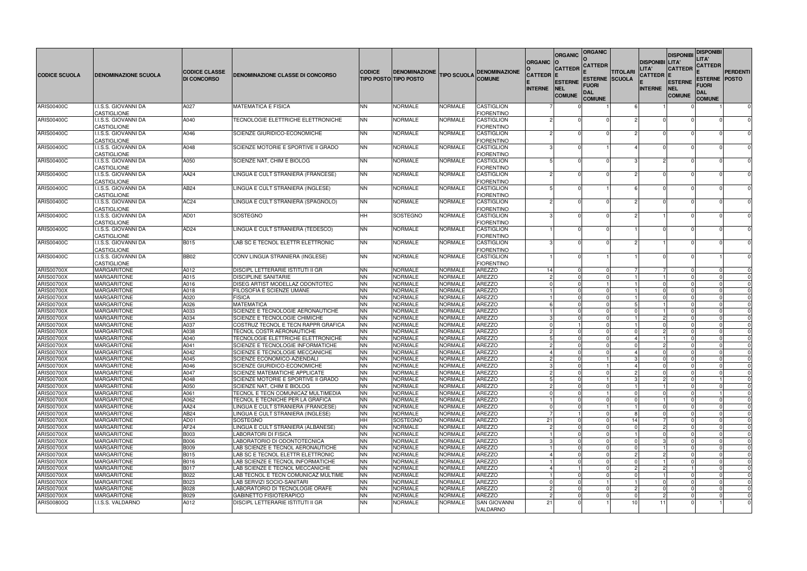| <b>CODICE SCUOLA</b>                   | <b>DENOMINAZIONE SCUOLA</b>              | <b>CODICE CLASSE</b><br><b>DI CONCORSO</b> | <b>DENOMINAZIONE CLASSE DI CONCORSO</b>                              | <b>CODICE</b>          | <b>DENOMINAZIONE</b><br><b>TIPO POSTO TIPO POSTO</b> | <b>TIPO SCUOLA</b>               | <b>DENOMINAZIONE</b><br><b>COMUNE</b>  | <b>ORGANIC</b><br><b>CATTEDR E</b><br><b>INTERNE</b> | <b>ORGANIC</b><br><b>CATTEDR</b><br><b>ESTERNE</b><br><b>NEL</b><br><b>COMUNE</b> | <b>ORGANIC</b><br><b>CATTEDR</b><br><b>ESTERNE SCUOLA</b><br>Fuori<br><b>DAL</b> | <b>TITOLARI</b> | <b>DISPONIBI LITA'</b><br>LITA'<br>CATTEDR  E<br><b>INTERNE</b> | <b>DISPONIBI</b><br><b>CATTEDR</b><br><b>ESTERNE</b><br><b>INEL</b><br><b>COMUNE</b> | <b>DISPONIBI</b><br>LITA'<br><b>CATTEDR</b><br><b>ESTERNE POSTO</b><br>Fuori<br>DAL | <b>PERDENTI</b>         |
|----------------------------------------|------------------------------------------|--------------------------------------------|----------------------------------------------------------------------|------------------------|------------------------------------------------------|----------------------------------|----------------------------------------|------------------------------------------------------|-----------------------------------------------------------------------------------|----------------------------------------------------------------------------------|-----------------|-----------------------------------------------------------------|--------------------------------------------------------------------------------------|-------------------------------------------------------------------------------------|-------------------------|
| ARIS00400C                             | I.I.S.S. GIOVANNI DA                     | A027                                       | <b>MATEMATICA E FISICA</b>                                           | <b>NN</b>              | <b>NORMALE</b>                                       | NORMALE                          | <b>CASTIGLION</b>                      |                                                      |                                                                                   | <b>COMUNE</b>                                                                    |                 |                                                                 |                                                                                      | <b>COMUNE</b>                                                                       | $\mathbf 0$             |
| ARIS00400C                             | CASTIGLIONE<br>I.I.S.S. GIOVANNI DA      | A040                                       | TECNOLOGIE ELETTRICHE ELETTRONICHE                                   | <b>NN</b>              | <b>NORMALE</b>                                       | NORMALE                          | <b>FIORENTINO</b><br><b>CASTIGLION</b> |                                                      |                                                                                   |                                                                                  |                 |                                                                 |                                                                                      |                                                                                     |                         |
|                                        | CASTIGLIONE                              |                                            |                                                                      |                        |                                                      |                                  | <b>FIORENTINO</b>                      |                                                      |                                                                                   |                                                                                  |                 |                                                                 |                                                                                      |                                                                                     |                         |
| <b>ARIS00400C</b>                      | I.I.S.S. GIOVANNI DA                     | A046                                       | SCIENZE GIURIDICO-ECONOMICHE                                         | <b>NN</b>              | <b>NORMALE</b>                                       | NORMALE                          | <b>CASTIGLION</b>                      |                                                      |                                                                                   |                                                                                  |                 |                                                                 |                                                                                      |                                                                                     | $\Omega$                |
|                                        | CASTIGLIONE                              |                                            |                                                                      |                        |                                                      |                                  | <b>FIORENTINO</b>                      |                                                      |                                                                                   |                                                                                  |                 |                                                                 |                                                                                      |                                                                                     |                         |
| ARIS00400C                             | I.I.S.S. GIOVANNI DA                     | A048                                       | SCIENZE MOTORIE E SPORTIVE II GRADO                                  | <b>NN</b>              | <b>NORMALE</b>                                       | NORMALE                          | CASTIGLION                             |                                                      |                                                                                   |                                                                                  |                 |                                                                 |                                                                                      |                                                                                     | $\Omega$                |
|                                        | CASTIGLIONE                              |                                            |                                                                      |                        |                                                      |                                  | <b>FIORENTINO</b>                      |                                                      |                                                                                   |                                                                                  |                 |                                                                 |                                                                                      |                                                                                     |                         |
| <b>ARIS00400C</b>                      | I.I.S.S. GIOVANNI DA<br>CASTIGLIONE      | A050                                       | SCIENZE NAT, CHIM E BIOLOG                                           | <b>NN</b>              | <b>NORMALE</b>                                       | NORMALE                          | <b>CASTIGLION</b><br><b>FIORENTINO</b> |                                                      |                                                                                   |                                                                                  |                 |                                                                 |                                                                                      |                                                                                     |                         |
| <b>ARIS00400C</b>                      | I.I.S.S. GIOVANNI DA                     | AA24                                       | LINGUA E CULT STRANIERA (FRANCESE)                                   | <b>NN</b>              | <b>NORMALE</b>                                       | NORMALE                          | CASTIGLION                             |                                                      |                                                                                   |                                                                                  |                 |                                                                 |                                                                                      |                                                                                     | $\Omega$                |
|                                        | CASTIGLIONE                              |                                            |                                                                      |                        |                                                      |                                  | <b>FIORENTINO</b>                      |                                                      |                                                                                   |                                                                                  |                 |                                                                 |                                                                                      |                                                                                     |                         |
| <b>ARIS00400C</b>                      | I.I.S.S. GIOVANNI DA                     | AB24                                       | LINGUA E CULT STRANIERA (INGLESE)                                    | <b>NN</b>              | <b>NORMALE</b>                                       | <b>NORMALE</b>                   | <b>CASTIGLION</b>                      |                                                      |                                                                                   |                                                                                  |                 |                                                                 |                                                                                      |                                                                                     | $\Omega$                |
|                                        | <b>CASTIGLIONE</b>                       |                                            |                                                                      |                        |                                                      |                                  | <b>FIORENTINO</b>                      |                                                      |                                                                                   |                                                                                  |                 |                                                                 |                                                                                      |                                                                                     |                         |
| <b>ARIS00400C</b>                      | I.I.S.S. GIOVANNI DA                     | AC <sub>24</sub>                           | LINGUA E CULT STRANIERA (SPAGNOLO)                                   | <b>NN</b>              | <b>NORMALE</b>                                       | <b>NORMALE</b>                   | <b>CASTIGLION</b>                      |                                                      |                                                                                   |                                                                                  |                 |                                                                 |                                                                                      |                                                                                     |                         |
|                                        | CASTIGLIONE<br>I.I.S.S. GIOVANNI DA      | AD01                                       | <b>SOSTEGNO</b>                                                      | <b>HH</b>              |                                                      | NORMALE                          | <b>FIORENTINO</b><br><b>CASTIGLION</b> |                                                      |                                                                                   |                                                                                  |                 |                                                                 |                                                                                      |                                                                                     |                         |
| <b>ARIS00400C</b>                      | CASTIGLIONE                              |                                            |                                                                      |                        | SOSTEGNO                                             |                                  | <b>FIORENTINO</b>                      |                                                      |                                                                                   |                                                                                  |                 |                                                                 |                                                                                      |                                                                                     |                         |
| ARIS00400C                             | I.I.S.S. GIOVANNI DA                     | AD <sub>24</sub>                           | LINGUA E CULT STRANIERA (TEDESCO)                                    | <b>NN</b>              | <b>NORMALE</b>                                       | <b>NORMALE</b>                   | CASTIGLION                             |                                                      |                                                                                   |                                                                                  |                 |                                                                 |                                                                                      |                                                                                     | $\Omega$                |
|                                        | <b>CASTIGLIONE</b>                       |                                            |                                                                      |                        |                                                      |                                  | <b>FIORENTINO</b>                      |                                                      |                                                                                   |                                                                                  |                 |                                                                 |                                                                                      |                                                                                     |                         |
| <b>ARIS00400C</b>                      | I.I.S.S. GIOVANNI DA                     | <b>B015</b>                                | LAB SC E TECNOL ELETTR ELETTRONIC                                    | <b>NN</b>              | <b>NORMALE</b>                                       | NORMALE                          | <b>CASTIGLION</b>                      |                                                      |                                                                                   |                                                                                  |                 |                                                                 |                                                                                      |                                                                                     | $\Omega$                |
|                                        | CASTIGLIONE                              |                                            |                                                                      |                        |                                                      |                                  | <b>FIORENTINO</b>                      |                                                      |                                                                                   |                                                                                  |                 |                                                                 |                                                                                      |                                                                                     |                         |
| <b>ARIS00400C</b>                      | I.I.S.S. GIOVANNI DA                     | <b>BB02</b>                                | CONV LINGUA STRANIERA (INGLESE)                                      | <b>NN</b>              | <b>NORMALE</b>                                       | NORMALE                          | <b>CASTIGLION</b>                      |                                                      |                                                                                   |                                                                                  |                 |                                                                 |                                                                                      |                                                                                     | $\Omega$                |
|                                        | CASTIGLIONE<br><b>MARGARITONE</b>        | A012                                       | DISCIPL LETTERARIE ISTITUTI II GR                                    | <b>NN</b>              | <b>NORMALE</b>                                       | <b>NORMALE</b>                   | <b>FIORENTINO</b><br><b>AREZZO</b>     | 14                                                   |                                                                                   |                                                                                  |                 |                                                                 |                                                                                      |                                                                                     | $\Omega$                |
| ARIS00700X<br><b>ARIS00700X</b>        | <b>MARGARITONE</b>                       | A015                                       | <b>DISCIPLINE SANITARIE</b>                                          | <b>NN</b>              | <b>NORMALE</b>                                       | <b>NORMALE</b>                   | <b>AREZZO</b>                          |                                                      |                                                                                   |                                                                                  |                 |                                                                 |                                                                                      |                                                                                     |                         |
| <b>ARIS00700X</b>                      | <b>MARGARITONE</b>                       | A016                                       | <b>DISEG ARTIST MODELLAZ ODONTOTEC</b>                               | <b>NN</b>              | <b>NORMALE</b>                                       | NORMALE                          | <b>AREZZO</b>                          |                                                      |                                                                                   |                                                                                  |                 |                                                                 |                                                                                      |                                                                                     | $\Omega$                |
| <b>ARIS00700X</b>                      | <b>MARGARITONE</b>                       | A018                                       | <b>FILOSOFIA E SCIENZE UMANE</b>                                     | <b>NN</b>              | <b>NORMALE</b>                                       | <b>NORMALE</b>                   | <b>AREZZO</b>                          |                                                      |                                                                                   |                                                                                  |                 |                                                                 |                                                                                      |                                                                                     | $\Omega$                |
| <b>ARIS00700X</b>                      | <b>MARGARITONE</b>                       | A020                                       | <b>FISICA</b>                                                        | <b>NN</b>              | <b>NORMALE</b>                                       | <b>NORMALE</b>                   | <b>AREZZO</b>                          |                                                      |                                                                                   |                                                                                  |                 |                                                                 |                                                                                      |                                                                                     | $\Omega$                |
| <b>ARIS00700X</b>                      | <b>MARGARITONE</b>                       | A026                                       | <b>MATEMATICA</b>                                                    | <b>NN</b>              | <b>NORMALE</b>                                       | NORMALE                          | <b>AREZZO</b>                          |                                                      |                                                                                   |                                                                                  |                 |                                                                 |                                                                                      |                                                                                     | $\Omega$                |
| <b>ARIS00700X</b>                      | <b>MARGARITONE</b>                       | A033                                       | SCIENZE E TECNOLOGIE AERONAUTICHE                                    | <b>NN</b>              | <b>NORMALE</b>                                       | <b>NORMALE</b>                   | <b>AREZZO</b>                          |                                                      |                                                                                   |                                                                                  |                 |                                                                 |                                                                                      |                                                                                     |                         |
| <b>ARIS00700X</b>                      | <b>MARGARITONE</b>                       | A034                                       | SCIENZE E TECNOLOGIE CHIMICHE                                        | <b>NN</b><br><b>NN</b> | <b>NORMALE</b>                                       | <b>NORMALE</b>                   | <b>AREZZO</b>                          |                                                      |                                                                                   |                                                                                  |                 |                                                                 |                                                                                      |                                                                                     | $\mathbf 0$<br>$\Omega$ |
| <b>ARIS00700X</b><br><b>ARIS00700X</b> | <b>MARGARITONE</b><br><b>MARGARITONE</b> | A037<br>A038                               | COSTRUZ TECNOL E TECN RAPPR GRAFICA<br>TECNOL COSTR AERONAUTICHE     | <b>NN</b>              | <b>NORMALE</b><br><b>NORMALE</b>                     | <b>NORMALE</b><br><b>NORMALE</b> | <b>AREZZO</b><br><b>AREZZO</b>         |                                                      |                                                                                   |                                                                                  |                 |                                                                 |                                                                                      |                                                                                     |                         |
| ARIS00700X                             | <b>MARGARITONE</b>                       | A040                                       | TECNOLOGIE ELETTRICHE ELETTRONICHE                                   | <b>NN</b>              | <b>NORMALE</b>                                       | <b>NORMALE</b>                   | <b>AREZZO</b>                          |                                                      |                                                                                   |                                                                                  |                 |                                                                 |                                                                                      |                                                                                     | 0                       |
| <b>ARIS00700X</b>                      | MARGARITONE                              | A041                                       | SCIENZE E TECNOLOGIE INFORMATICHE                                    | <b>NN</b>              | <b>NORMALE</b>                                       | NORMALE                          | <b>AREZZO</b>                          |                                                      |                                                                                   |                                                                                  |                 |                                                                 |                                                                                      |                                                                                     |                         |
| <b>ARIS00700X</b>                      | <b>MARGARITONE</b>                       | A042                                       | SCIENZE E TECNOLOGIE MECCANICHE                                      | <b>NN</b>              | <b>NORMALE</b>                                       | NORMALE                          | <b>AREZZO</b>                          |                                                      | 41                                                                                |                                                                                  |                 |                                                                 |                                                                                      |                                                                                     |                         |
| ARIS00700X                             | MARGARITONE                              | A045                                       | SCIENZE ECONOMICO-AZIENDALI                                          | <b>NN</b>              | <b>NORMALE</b>                                       | NORMALE                          | AREZZO                                 | $\mathfrak{p}$                                       |                                                                                   |                                                                                  |                 | $\Omega$                                                        |                                                                                      |                                                                                     | 0                       |
| ARIS00700X                             | MARGARITONE                              | A046                                       | SCIENZE GIURIDICO-ECONOMICHE                                         | <b>NN</b>              | <b>NORMALE</b>                                       | <b>NORMALE</b>                   | <b>AREZZO</b>                          |                                                      |                                                                                   |                                                                                  |                 |                                                                 |                                                                                      |                                                                                     |                         |
| ARIS00700X<br><b>ARIS00700X</b>        | <b>MARGARITONE</b><br><b>MARGARITONE</b> | A047<br>A048                               | SCIENZE MATEMATICHE APPLICATE<br>SCIENZE MOTORIE E SPORTIVE II GRADO | <b>NN</b><br><b>NN</b> | <b>NORMALE</b>                                       | NORMALE                          | AREZZO<br>AREZZO                       |                                                      |                                                                                   |                                                                                  |                 |                                                                 |                                                                                      |                                                                                     | $\Omega$                |
| ARIS00700X                             | <b>MARGARITONE</b>                       | A050                                       | SCIENZE NAT, CHIM E BIOLOG                                           | <b>NN</b>              | <b>NORMALE</b><br><b>NORMALE</b>                     | NORMALE<br><b>NORMALE</b>        | AREZZO                                 |                                                      |                                                                                   |                                                                                  |                 |                                                                 |                                                                                      |                                                                                     |                         |
| <b>ARIS00700X</b>                      | MARGARITONE                              | A061                                       | TECNOL E TECN COMUNICAZ MULTIMEDIA                                   | <b>NN</b>              | <b>NORMALE</b>                                       | NORMALE                          | <b>AREZZO</b>                          |                                                      |                                                                                   |                                                                                  |                 |                                                                 |                                                                                      |                                                                                     |                         |
| <b>ARIS00700X</b>                      | <b>MARGARITONE</b>                       | A062                                       | TECNOL E TECNICHE PER LA GRAFICA                                     | <b>NN</b>              | <b>NORMALE</b>                                       | NORMALE                          | AREZZO                                 |                                                      |                                                                                   |                                                                                  |                 |                                                                 |                                                                                      |                                                                                     | $\Omega$                |
| <b>ARIS00700X</b>                      | <b>MARGARITONE</b>                       | AA24                                       | LINGUA E CULT STRANIERA (FRANCESE)                                   | <b>NN</b>              | <b>NORMALE</b>                                       | NORMALE                          | AREZZO                                 |                                                      |                                                                                   |                                                                                  |                 |                                                                 |                                                                                      |                                                                                     |                         |
| ARIS00700X                             | <b>MARGARITONE</b>                       | AB24                                       | LINGUA E CULT STRANIERA (INGLESE)                                    | <b>NN</b>              | <b>NORMALE</b>                                       | <b>NORMALE</b>                   | <b>AREZZO</b>                          |                                                      |                                                                                   |                                                                                  |                 |                                                                 |                                                                                      |                                                                                     | $\Omega$                |
| <b>ARIS00700X</b>                      | <b>MARGARITONE</b>                       | AD01                                       | <b>SOSTEGNO</b>                                                      | <b>HH</b>              | SOSTEGNO                                             | <b>NORMALE</b>                   | <b>AREZZO</b>                          | 21                                                   |                                                                                   |                                                                                  | 14              |                                                                 |                                                                                      |                                                                                     | $\Omega$                |
| <b>ARIS00700X</b><br>ARIS00700X        | <b>MARGARITONE</b><br><b>MARGARITONE</b> | AF <sub>24</sub><br><b>B003</b>            | LINGUA E CULT STRANIERA (ALBANESE)<br>LABORATORI DI FISICA           | <b>NN</b><br><b>NN</b> | <b>NORMALE</b><br><b>NORMALE</b>                     | NORMALE<br><b>NORMALE</b>        | <b>AREZZO</b><br>AREZZO                |                                                      |                                                                                   |                                                                                  |                 |                                                                 |                                                                                      |                                                                                     |                         |
| <b>ARIS00700X</b>                      | MARGARITONE                              | <b>B006</b>                                | LABORATORIO DI ODONTOTECNICA                                         | <b>NN</b>              | <b>NORMALE</b>                                       | NORMALE                          | <b>AREZZO</b>                          |                                                      |                                                                                   |                                                                                  |                 |                                                                 |                                                                                      |                                                                                     |                         |
| <b>ARIS00700X</b>                      | <b>MARGARITONE</b>                       | <b>B009</b>                                | LAB SCIENZE E TECNOL AERONAUTICHE                                    | <b>NN</b>              | <b>NORMALE</b>                                       | NORMALE                          | AREZZO                                 |                                                      |                                                                                   |                                                                                  |                 |                                                                 |                                                                                      |                                                                                     |                         |
| ARIS00700X                             | MARGARITONE                              | <b>B015</b>                                | LAB SC E TECNOL ELETTR ELETTRONIC                                    | <b>NN</b>              | <b>NORMALE</b>                                       | NORMALE                          | <b>AREZZO</b>                          |                                                      |                                                                                   |                                                                                  |                 |                                                                 |                                                                                      |                                                                                     | $\Omega$                |
| <b>ARIS00700X</b>                      | MARGARITONE                              | B016                                       | LAB SCIENZE E TECNOL INFORMATICHE                                    | <b>NN</b>              | <b>NORMALE</b>                                       | <b>NORMALE</b>                   | <b>AREZZO</b>                          |                                                      |                                                                                   |                                                                                  |                 |                                                                 |                                                                                      |                                                                                     |                         |
| <b>ARIS00700X</b>                      | <b>MARGARITONE</b>                       | <b>B017</b>                                | LAB SCIENZE E TECNOL MECCANICHE                                      | <b>NN</b>              | <b>NORMALE</b>                                       | NORMALE                          | AREZZO                                 |                                                      |                                                                                   |                                                                                  | $\overline{c}$  |                                                                 |                                                                                      |                                                                                     | $\Omega$                |
| <b>ARIS00700X</b>                      | MARGARITONE                              | B022                                       | LAB TECNOL E TECN COMUNICAZ MULTIME                                  | <b>NN</b>              | <b>NORMALE</b>                                       | NORMALE                          | <b>AREZZO</b>                          |                                                      |                                                                                   |                                                                                  | -C              |                                                                 |                                                                                      | $\Omega$                                                                            | $\Omega$                |
| <b>ARIS00700X</b><br><b>ARIS00700X</b> | MARGARITONE                              | B023<br><b>B028</b>                        | LAB SERVIZI SOCIO-SANITARI                                           | <b>NN</b>              | <b>NORMALE</b>                                       | NORMALE                          | <b>AREZZO</b><br>AREZZO                |                                                      |                                                                                   |                                                                                  | $\overline{c}$  |                                                                 |                                                                                      |                                                                                     |                         |
| <b>ARIS00700X</b>                      | <b>MARGARITONE</b><br>MARGARITONE        | B029                                       | LABORATORIO DI TECNOLOGIE ORAFE<br>GABINETTO FISIOTERAPICO           | <b>NN</b><br><b>NN</b> | <b>NORMALE</b><br><b>NORMALE</b>                     | NORMALE<br>NORMALE               | <b>AREZZO</b>                          |                                                      |                                                                                   |                                                                                  |                 |                                                                 |                                                                                      |                                                                                     | $\Omega$<br>$\Omega$    |
| ARIS00800Q                             | I.I.S.S. VALDARNO                        | A012                                       | DISCIPL LETTERARIE ISTITUTI II GR                                    | <b>NN</b>              | <b>NORMALE</b>                                       | NORMALE                          | <b>SAN GIOVANNI</b>                    | 21                                                   |                                                                                   |                                                                                  | 10              | 11                                                              |                                                                                      |                                                                                     | $\mathbf 0$             |
|                                        |                                          |                                            |                                                                      |                        |                                                      |                                  | VALDARNO                               |                                                      |                                                                                   |                                                                                  |                 |                                                                 |                                                                                      |                                                                                     |                         |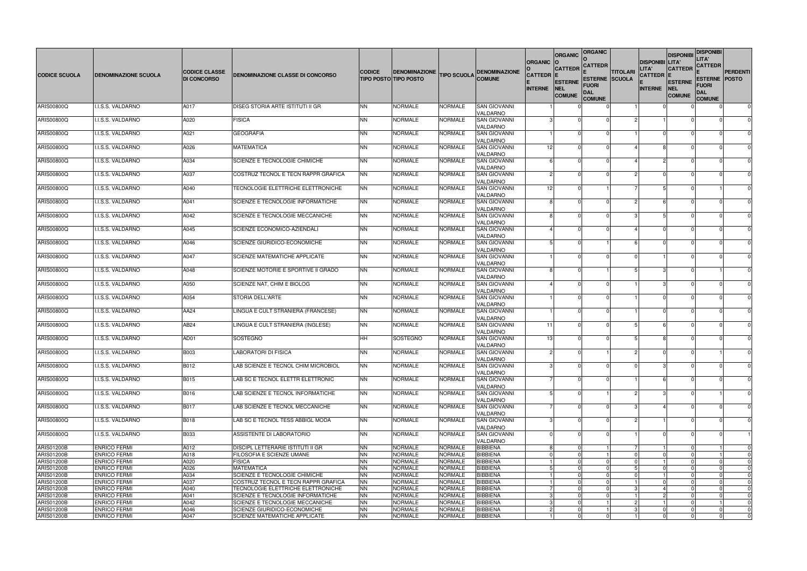|                                 |                                            |                      |                                                    |                        |                                  |                           |                                    |                | <b>ORGANIC</b>              | <b>ORGANIC</b>                 |                 |                                 | <b>DISPONIBI</b>            | <b>DISPONIBI</b><br>LITA'     |                         |
|---------------------------------|--------------------------------------------|----------------------|----------------------------------------------------|------------------------|----------------------------------|---------------------------|------------------------------------|----------------|-----------------------------|--------------------------------|-----------------|---------------------------------|-----------------------------|-------------------------------|-------------------------|
|                                 |                                            | <b>CODICE CLASSE</b> |                                                    | <b>CODICE</b>          | <b>DENOMINAZIONE</b>             |                           | <b>DENOMINAZIONE</b>               | <b>ORGANIC</b> | <b>CATTEDR</b>              | <b>CATTEDR</b>                 | <b>TITOLARI</b> | <b>DISPONIBI LITA'</b><br>LITA' | <b>CATTEDR</b>              | <b>CATTEDR</b>                | <b>PERDENTI</b>         |
| <b>CODICE SCUOLA</b>            | <b>DENOMINAZIONE SCUOLA</b>                | <b>DI CONCORSO</b>   | DENOMINAZIONE CLASSE DI CONCORSO                   |                        | <b>TIPO POSTO TIPO POSTO</b>     | <b>TIPO SCUOLA</b>        | <b>COMUNE</b>                      | <b>CATTEDR</b> | <b>ESTERNE</b>              | <b>ESTERNE SCUOLA</b><br>Fuori |                 | <b>CATTEDR  E</b>               | <b>ESTERNE</b>              | <b>ESTERNE POSTO</b><br>Fuori |                         |
|                                 |                                            |                      |                                                    |                        |                                  |                           |                                    | <b>INTERNE</b> | <b>NEL</b><br><b>COMUNE</b> | <b>DAL</b><br><b>COMUNE</b>    |                 | <b>INTERNE</b>                  | <b>NEL</b><br><b>COMUNE</b> | DAL<br><b>COMUNE</b>          |                         |
| ARIS00800Q                      | I.I.S.S. VALDARNO                          | A017                 | DISEG STORIA ARTE ISTITUTI II GR                   | <b>NN</b>              | <b>NORMALE</b>                   | <b>NORMALE</b>            | <b>SAN GIOVANNI</b>                |                |                             |                                |                 |                                 |                             |                               | $\mathbf 0$             |
| ARIS00800Q                      | I.I.S.S. VALDARNO                          | A020                 | <b>FISICA</b>                                      | <b>NN</b>              | <b>NORMALE</b>                   | <b>NORMALE</b>            | VALDARNO<br><b>SAN GIOVANNI</b>    |                |                             |                                |                 |                                 |                             |                               |                         |
|                                 |                                            |                      |                                                    |                        |                                  |                           | VALDARNO                           |                |                             |                                |                 |                                 |                             |                               |                         |
| ARIS00800Q                      | I.I.S.S. VALDARNO                          | A021                 | GEOGRAFIA                                          | <b>NN</b>              | <b>NORMALE</b>                   | NORMALE                   | <b>SAN GIOVANNI</b><br>VALDARNO    |                |                             |                                |                 |                                 |                             |                               | $\Omega$                |
| ARIS00800Q                      | I.I.S.S. VALDARNO                          | A026                 | MATEMATICA                                         | <b>NN</b>              | <b>NORMALE</b>                   | <b>NORMALE</b>            | <b>SAN GIOVANNI</b><br>VALDARNO    | 12             |                             |                                |                 |                                 |                             |                               | $\Omega$                |
| ARIS00800Q                      | I.I.S.S. VALDARNO                          | A034                 | SCIENZE E TECNOLOGIE CHIMICHE                      | <b>NN</b>              | <b>NORMALE</b>                   | <b>NORMALE</b>            | <b>SAN GIOVANNI</b>                |                |                             |                                |                 |                                 |                             |                               |                         |
| ARIS00800Q                      | I.I.S.S. VALDARNO                          | A037                 | COSTRUZ TECNOL E TECN RAPPR GRAFICA                | <b>NN</b>              | <b>NORMALE</b>                   | <b>NORMALE</b>            | VALDARNO<br><b>SAN GIOVANNI</b>    |                |                             |                                |                 |                                 |                             |                               | $\Omega$                |
|                                 |                                            |                      |                                                    |                        |                                  |                           | VALDARNO                           |                |                             |                                |                 |                                 |                             |                               |                         |
| ARIS00800Q                      | I.I.S.S. VALDARNO                          | A040                 | TECNOLOGIE ELETTRICHE ELETTRONICHE                 | <b>NN</b>              | <b>NORMALE</b>                   | <b>NORMALE</b>            | <b>SAN GIOVANNI</b>                | 12             |                             |                                |                 |                                 |                             |                               | $\Omega$                |
| ARIS00800Q                      | I.I.S.S. VALDARNO                          | A041                 | SCIENZE E TECNOLOGIE INFORMATICHE                  | <b>NN</b>              | <b>NORMALE</b>                   | <b>NORMALE</b>            | VALDARNO<br><b>SAN GIOVANNI</b>    |                |                             |                                |                 |                                 |                             |                               |                         |
|                                 |                                            |                      |                                                    |                        |                                  |                           | VALDARNO                           |                |                             |                                |                 |                                 |                             |                               |                         |
| ARIS00800Q                      | I.I.S.S. VALDARNO                          | A042                 | SCIENZE E TECNOLOGIE MECCANICHE                    | <b>NN</b>              | <b>NORMALE</b>                   | <b>NORMALE</b>            | <b>SAN GIOVANNI</b><br>VALDARNO    |                |                             |                                |                 |                                 |                             |                               |                         |
| ARIS00800Q                      | I.I.S.S. VALDARNO                          | A045                 | <b>SCIENZE ECONOMICO-AZIENDALI</b>                 | <b>NN</b>              | <b>NORMALE</b>                   | <b>NORMALE</b>            | <b>SAN GIOVANNI</b>                |                |                             |                                |                 |                                 |                             |                               | $\Omega$                |
| ARIS00800Q                      | I.I.S.S. VALDARNO                          | A046                 | SCIENZE GIURIDICO-ECONOMICHE                       | <b>NN</b>              | <b>NORMALE</b>                   | NORMALE                   | VALDARNO<br><b>SAN GIOVANNI</b>    |                |                             |                                |                 |                                 |                             |                               | $\Omega$                |
|                                 |                                            |                      |                                                    |                        |                                  |                           | VALDARNO                           |                |                             |                                |                 |                                 |                             |                               |                         |
| <b>ARIS00800Q</b>               | I.I.S.S. VALDARNO                          | A047                 | SCIENZE MATEMATICHE APPLICATE                      | <b>NN</b>              | <b>NORMALE</b>                   | NORMALE                   | <b>SAN GIOVANNI</b>                |                |                             |                                |                 |                                 |                             |                               | $\Omega$                |
| ARIS00800Q                      | I.I.S.S. VALDARNO                          | A048                 | SCIENZE MOTORIE E SPORTIVE II GRADO                | <b>NN</b>              | <b>NORMALE</b>                   | NORMALE                   | VALDARNO<br><b>SAN GIOVANNI</b>    |                |                             |                                |                 |                                 |                             |                               | $\Omega$                |
|                                 |                                            |                      |                                                    |                        |                                  |                           | VALDARNO                           |                |                             |                                |                 |                                 |                             |                               |                         |
| ARIS00800Q                      | I.I.S.S. VALDARNO                          | A050                 | SCIENZE NAT, CHIM E BIOLOG                         | <b>NN</b>              | <b>NORMALE</b>                   | NORMALE                   | <b>SAN GIOVANNI</b><br>VALDARNO    |                |                             |                                |                 |                                 |                             |                               | $\Omega$                |
| ARIS00800Q                      | I.I.S.S. VALDARNO                          | A054                 | STORIA DELL'ARTE                                   | <b>NN</b>              | <b>NORMALE</b>                   | <b>NORMALE</b>            | <b>SAN GIOVANNI</b>                |                |                             |                                |                 |                                 |                             |                               | $\Omega$                |
| ARIS00800Q                      | I.I.S.S. VALDARNO                          | AA24                 | LINGUA E CULT STRANIERA (FRANCESE)                 | <b>NN</b>              | <b>NORMALE</b>                   | <b>NORMALE</b>            | VALDARNO<br><b>SAN GIOVANNI</b>    |                |                             |                                |                 |                                 |                             |                               |                         |
|                                 |                                            |                      |                                                    |                        |                                  |                           | VALDARNO                           |                |                             |                                |                 |                                 |                             |                               |                         |
| ARIS00800Q                      | I.I.S.S. VALDARNO                          | AB24                 | LINGUA E CULT STRANIERA (INGLESE)                  | <b>NN</b>              | <b>NORMALE</b>                   | NORMALE                   | <b>SAN GIOVANNI</b><br>VALDARNO    | 11             |                             |                                |                 |                                 |                             |                               | $\Omega$                |
| ARIS00800Q                      | I.I.S.S. VALDARNO                          | AD01                 | <b>SOSTEGNO</b>                                    | HH                     | SOSTEGNO                         | NORMALE                   | <b>SAN GIOVANNI</b>                | -13            |                             |                                |                 |                                 |                             |                               | $\Omega$                |
|                                 |                                            |                      |                                                    |                        |                                  |                           | VALDARNO                           |                |                             |                                |                 |                                 |                             |                               |                         |
| <b>ARIS00800Q</b>               | I.I.S.S. VALDARNO                          | <b>B003</b>          | <b>LABORATORI DI FISICA</b>                        | <b>NN</b>              | <b>NORMALE</b>                   | <b>NORMALE</b>            | SAN GIOVANNI<br><b>VALDARNO</b>    |                |                             |                                |                 |                                 |                             |                               |                         |
| ARIS00800Q                      | I.I.S.S. VALDARNO                          | B012                 | LAB SCIENZE E TECNOL CHIM MICROBIOL                | <b>NN</b>              | NORMALE                          | NORMALE                   | <b>SAN GIOVANNI</b>                |                |                             |                                |                 |                                 |                             |                               | $\Omega$                |
| ARIS00800Q                      | I.I.S.S. VALDARNO                          | <b>B015</b>          | LAB SC E TECNOL ELETTR ELETTRONIC                  | <b>NN</b>              | <b>NORMALE</b>                   | <b>NORMALE</b>            | VALDARNO<br><b>SAN GIOVANNI</b>    |                |                             |                                |                 |                                 |                             |                               | $\Omega$                |
|                                 |                                            |                      |                                                    |                        |                                  |                           | <b>VALDARNO</b>                    |                |                             |                                |                 |                                 |                             |                               |                         |
| ARIS00800Q                      | I.I.S.S. VALDARNO                          | B016                 | LAB SCIENZE E TECNOL INFORMATICHE                  | <b>NN</b>              | <b>NORMALE</b>                   | NORMALE                   | <b>SAN GIOVANNI</b><br>VALDARNO    |                |                             |                                |                 |                                 |                             |                               | $\Omega$                |
| ARIS00800Q                      | I.I.S.S. VALDARNO                          | B017                 | LAB SCIENZE E TECNOL MECCANICHE                    | <b>NN</b>              | <b>NORMALE</b>                   | <b>NORMALE</b>            | <b>SAN GIOVANNI</b>                |                |                             |                                |                 |                                 |                             |                               | $\mathbf 0$             |
|                                 |                                            |                      |                                                    |                        |                                  |                           | VALDARNO<br><b>SAN GIOVANNI</b>    |                |                             |                                |                 |                                 |                             |                               | $\Omega$                |
| <b>ARIS00800Q</b>               | I.I.S.S. VALDARNO                          | <b>B018</b>          | LAB SC E TECNOL TESS ABBIGL MODA                   | <b>NN</b>              | <b>NORMALE</b>                   | <b>NORMALE</b>            | <b>VALDARNO</b>                    |                |                             |                                |                 |                                 |                             |                               |                         |
| ARIS00800Q                      | I.I.S.S. VALDARNO                          | <b>B033</b>          | ASSISTENTE DI LABORATORIO                          | <b>NN</b>              | <b>NORMALE</b>                   | <b>NORMALE</b>            | <b>SAN GIOVANNI</b>                |                |                             |                                |                 |                                 |                             |                               |                         |
| ARIS01200B                      | <b>ENRICO FERMI</b>                        | A012                 | DISCIPL LETTERARIE ISTITUTI II GR                  | <b>NN</b>              | <b>NORMALE</b>                   | <b>NORMALE</b>            | <b>VALDARNO</b><br><b>BIBBIENA</b> |                |                             |                                |                 |                                 |                             |                               | $\Omega$                |
| ARIS01200B                      | <b>ENRICO FERMI</b>                        | A018                 | FILOSOFIA E SCIENZE UMANE                          | <b>NN</b>              | <b>NORMALE</b>                   | NORMALE                   | <b>BIBBIENA</b>                    |                |                             |                                |                 |                                 |                             |                               | $\Omega$                |
| ARIS01200B                      | <b>ENRICO FERMI</b>                        | A020                 | <b>FISICA</b>                                      | <b>NN</b>              | <b>NORMALE</b>                   | <b>NORMALE</b>            | <b>BIBBIENA</b>                    |                |                             |                                |                 |                                 |                             |                               |                         |
| ARIS01200B<br><b>ARIS01200B</b> | <b>ENRICO FERMI</b><br><b>ENRICO FERMI</b> | A026<br>A034         | <b>MATEMATICA</b><br>SCIENZE E TECNOLOGIE CHIMICHE | <b>NN</b><br><b>NN</b> | <b>NORMALE</b><br><b>NORMALE</b> | <b>NORMALE</b><br>NORMALE | <b>BIBBIENA</b><br><b>BIBBIENA</b> |                |                             |                                |                 |                                 |                             | $\Omega$                      | $\mathbf 0$<br>$\Omega$ |
| ARIS01200B                      | <b>ENRICO FERMI</b>                        | A037                 | COSTRUZ TECNOL E TECN RAPPR GRAFICA                | <b>NN</b>              | <b>NORMALE</b>                   | <b>NORMALE</b>            | <b>BIBBIENA</b>                    |                |                             |                                |                 |                                 |                             |                               | $\Omega$                |
| ARIS01200B                      | <b>ENRICO FERMI</b>                        | A040                 | TECNOLOGIE ELETTRICHE ELETTRONICHE                 | <b>NN</b>              | <b>NORMALE</b>                   | <b>NORMALE</b>            | <b>BIBBIENA</b>                    |                |                             |                                |                 |                                 |                             |                               | $\mathbf 0$             |
| ARIS01200B                      | <b>ENRICO FERMI</b>                        | A041                 | SCIENZE E TECNOLOGIE INFORMATICHE                  | <b>NN</b>              | <b>NORMALE</b>                   | NORMALE                   | <b>BIBBIENA</b>                    |                |                             |                                |                 |                                 |                             |                               | $\Omega$                |
| ARIS01200B                      | <b>ENRICO FERMI</b>                        | A042                 | SCIENZE E TECNOLOGIE MECCANICHE                    | <b>NN</b>              | <b>NORMALE</b>                   | NORMALE                   | <b>BIBBIENA</b>                    |                |                             |                                |                 |                                 |                             |                               | $\Omega$                |
| ARIS01200B                      | <b>ENRICO FERMI</b>                        | A046                 | SCIENZE GIURIDICO-ECONOMICHE                       | <b>NN</b>              | <b>NORMALE</b>                   | <b>NORMALE</b>            | <b>BIBBIENA</b>                    |                |                             |                                |                 |                                 |                             | $\Omega$                      | 0                       |
| ARIS01200B                      | <b>ENRICO FERMI</b>                        | A047                 | SCIENZE MATEMATICHE APPLICATE                      | <b>NN</b>              | <b>NORMALE</b>                   | <b>NORMALE</b>            | <b>BIBBIENA</b>                    |                |                             |                                |                 |                                 |                             | $\Omega$                      | $\mathbf 0$             |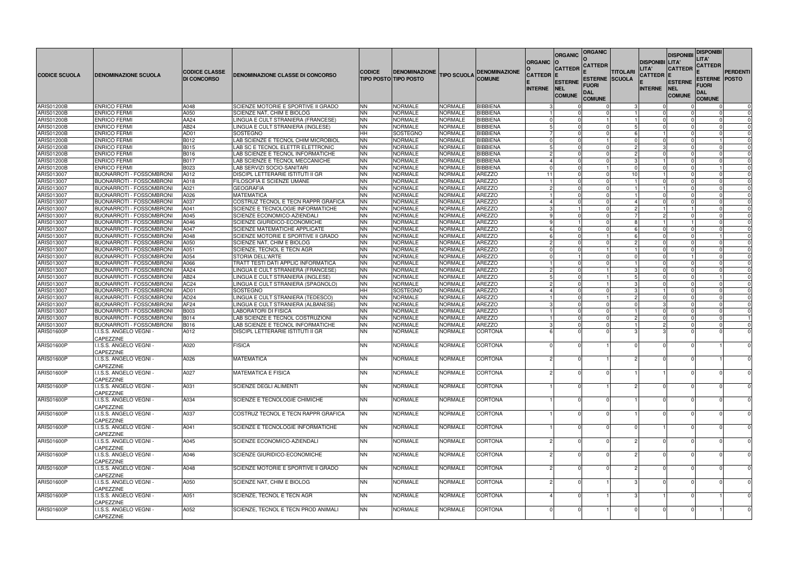| <b>CODICE SCUOLA</b>                   | <b>IDENOMINAZIONE SCUOLA</b>                                       | <b>CODICE CLASSE</b><br><b>DI CONCORSO</b> | DENOMINAZIONE CLASSE DI CONCORSO                                        | ICODICE                | <b>DENOMINAZIONE</b><br><b>TIPO POSTO TIPO POSTO</b> | <b>TIPO SCUOLA</b>               | <b>DENOMINAZIONE</b><br><b>COMUNE</b> | <b>ORGANIC</b><br><b>CATTEDR</b> | <b>ORGANIC</b><br><b>CATTEDR</b>       | <b>ORGANIC</b><br>CATTEDR<br><b>ESTERNE SCUOLA</b> | <b>TITOLARI</b> | <b>DISPONIBI LITA'</b><br>LITA'<br>CATTEDR  E | <b>DISPONIB</b><br><b>CATTEDR</b>              | <b>DISPONIBI</b><br>LITA'<br><b>CATTEDR</b><br><b>ESTERNE POSTO</b> | PERDENTI             |
|----------------------------------------|--------------------------------------------------------------------|--------------------------------------------|-------------------------------------------------------------------------|------------------------|------------------------------------------------------|----------------------------------|---------------------------------------|----------------------------------|----------------------------------------|----------------------------------------------------|-----------------|-----------------------------------------------|------------------------------------------------|---------------------------------------------------------------------|----------------------|
|                                        |                                                                    |                                            |                                                                         |                        |                                                      |                                  |                                       | <b>INTERNE</b>                   | <b>ESTERNE</b><br>NEL<br><b>COMUNE</b> | FUORI<br>DAL<br><b>COMUNE</b>                      |                 | <b>INTERNE</b>                                | <b>ESTERNE</b><br><b>INEL</b><br><b>COMUNE</b> | FUORI<br><b>DAL</b><br><b>COMUNE</b>                                |                      |
| <b>ARIS01200B</b>                      | <b>ENRICO FERMI</b>                                                | A048                                       | SCIENZE MOTORIE E SPORTIVE II GRADO                                     | <b>NN</b>              | NORMALE                                              | <b>NORMALE</b>                   | <b>BIBBIENA</b>                       |                                  |                                        |                                                    | -3              | $\Omega$                                      |                                                |                                                                     | $\mathbf 0$          |
| <b>ARIS01200B</b>                      | <b>ENRICO FERMI</b>                                                | A050                                       | SCIENZE NAT, CHIM E BIOLOG                                              | <b>NN</b>              | <b>NORMALE</b>                                       | NORMALE                          | <b>BIBBIENA</b>                       |                                  |                                        |                                                    |                 |                                               |                                                |                                                                     | $\Omega$             |
| <b>ARIS01200B</b><br><b>ARIS01200B</b> | <b>ENRICO FERMI</b><br><b>ENRICO FERMI</b>                         | AA24<br>AB24                               | LINGUA E CULT STRANIERA (FRANCESE)<br>LINGUA E CULT STRANIERA (INGLESE) | <b>NN</b><br><b>NN</b> | NORMALE<br>NORMALE                                   | NORMALE<br>NORMALE               | <b>BIBBIENA</b><br><b>BIBBIENA</b>    |                                  |                                        |                                                    |                 | $\Omega$                                      |                                                |                                                                     | $\Omega$<br>$\Omega$ |
| <b>ARIS01200B</b>                      | <b>ENRICO FERMI</b>                                                | AD01                                       | <b>SOSTEGNO</b>                                                         | <b>HH</b>              | SOSTEGNO                                             | NORMALE                          | <b>BIBBIENA</b>                       |                                  |                                        |                                                    | 6               |                                               |                                                |                                                                     | $\Omega$             |
| <b>ARIS01200B</b>                      | <b>ENRICO FERMI</b>                                                | B012                                       | LAB SCIENZE E TECNOL CHIM MICROBIOL                                     | <b>NN</b>              | NORMALE                                              | <b>NORMALE</b>                   | <b>BIBBIENA</b>                       |                                  |                                        |                                                    | $\Omega$        | $\Omega$                                      |                                                |                                                                     | $\Omega$             |
| <b>ARIS01200B</b>                      | <b>ENRICO FERMI</b>                                                | <b>B015</b>                                | LAB SC E TECNOL ELETTR ELETTRONIC                                       | <b>NN</b>              | NORMALE                                              | NORMALE                          | <b>BIBBIENA</b>                       |                                  |                                        |                                                    | $\mathcal{P}$   |                                               |                                                |                                                                     | $\Omega$             |
| <b>ARIS01200B</b>                      | <b>ENRICO FERMI</b>                                                | <b>B016</b>                                | LAB SCIENZE E TECNOL INFORMATICHE                                       | <b>NN</b>              | NORMALE                                              | NORMALE                          | <b>BIBBIENA</b>                       |                                  |                                        |                                                    | $\overline{2}$  | $\Omega$                                      |                                                |                                                                     | $\Omega$             |
| <b>ARIS01200B</b>                      | <b>ENRICO FERMI</b>                                                | <b>B017</b>                                | LAB SCIENZE E TECNOL MECCANICHE                                         | <b>NN</b>              | NORMALE                                              | NORMALE                          | <b>BIBBIENA</b>                       |                                  |                                        |                                                    | 3               |                                               |                                                |                                                                     | $\Omega$             |
| ARIS01200B                             | <b>ENRICO FERMI</b>                                                | B023                                       | LAB SERVIZI SOCIO-SANITARI                                              | <b>NN</b>              | NORMALE                                              | <b>NORMALE</b>                   | <b>BIBBIENA</b>                       |                                  |                                        |                                                    |                 |                                               |                                                |                                                                     | $\Omega$             |
| ARIS013007                             | <b>BUONARROTI - FOSSOMBRONI</b>                                    | A012                                       | DISCIPL LETTERARIE ISTITUTI II GR                                       | <b>NN</b>              | <b>NORMALE</b>                                       | <b>NORMALE</b>                   | <b>AREZZO</b>                         | 11                               |                                        |                                                    | 10              |                                               |                                                |                                                                     | $\Omega$             |
| ARIS013007                             | <b>BUONARROTI - FOSSOMBRONI</b>                                    | A018                                       | FILOSOFIA E SCIENZE UMANE                                               | <b>NN</b>              | NORMALE                                              | NORMALE                          | <b>AREZZO</b>                         |                                  |                                        |                                                    |                 | $\Omega$                                      |                                                |                                                                     | $\Omega$             |
| ARIS013007                             | <b>BUONARROTI - FOSSOMBRONI</b>                                    | A021<br>A026                               | <b>GEOGRAFIA</b><br><b>MATEMATICA</b>                                   | <b>NN</b>              | NORMALE<br><b>NORMALE</b>                            | <b>NORMALE</b><br><b>NORMALE</b> | <b>AREZZO</b><br><b>AREZZO</b>        |                                  |                                        |                                                    |                 | $\Omega$                                      |                                                |                                                                     | $\Omega$<br>$\Omega$ |
| ARIS013007<br>ARIS013007               | <b>BUONARROTI - FOSSOMBRONI</b><br><b>BUONARROTI - FOSSOMBRONI</b> | A037                                       | COSTRUZ TECNOL E TECN RAPPR GRAFICA                                     | <b>NN</b><br><b>NN</b> | NORMALE                                              | NORMALE                          | <b>AREZZO</b>                         |                                  |                                        |                                                    |                 | $\Omega$                                      |                                                |                                                                     | $\Omega$             |
| ARIS013007                             | <b>BUONARROTI - FOSSOMBRONI</b>                                    | A041                                       | SCIENZE E TECNOLOGIE INFORMATICHE                                       | <b>NN</b>              | NORMALE                                              | NORMALE                          | <b>AREZZO</b>                         |                                  |                                        |                                                    |                 | 2                                             |                                                |                                                                     | $\Omega$             |
| ARIS013007                             | <b>BUONARROTI - FOSSOMBRONI</b>                                    | A045                                       | SCIENZE ECONOMICO-AZIENDALI                                             | <b>NN</b>              | NORMALE                                              | <b>NORMALE</b>                   | <b>AREZZO</b>                         |                                  |                                        |                                                    |                 | 2                                             |                                                |                                                                     | $\Omega$             |
| ARIS013007                             | <b>BUONARROTI - FOSSOMBRONI</b>                                    | A046                                       | SCIENZE GIURIDICO-ECONOMICHE                                            | <b>NN</b>              | NORMALE                                              | NORMALE                          | <b>AREZZO</b>                         |                                  |                                        |                                                    | 8               |                                               |                                                |                                                                     | $\Omega$             |
| ARIS013007                             | <b>BUONARROTI - FOSSOMBRONI</b>                                    | A047                                       | <b>SCIENZE MATEMATICHE APPLICATE</b>                                    | <b>NN</b>              | NORMALE                                              | <b>NORMALE</b>                   | <b>AREZZO</b>                         |                                  |                                        |                                                    | 6               | $\Omega$                                      |                                                |                                                                     | $\Omega$             |
| ARIS013007                             | <b>BUONARROTI - FOSSOMBRONI</b>                                    | A048                                       | SCIENZE MOTORIE E SPORTIVE II GRADO                                     | <b>NN</b>              | <b>NORMALE</b>                                       | <b>NORMALE</b>                   | <b>AREZZO</b>                         |                                  |                                        |                                                    | 6               | $\Omega$                                      |                                                |                                                                     | $\Omega$             |
| ARIS013007                             | <b>BUONARROTI - FOSSOMBRONI</b>                                    | A050                                       | SCIENZE NAT, CHIM E BIOLOG                                              | <b>NN</b>              | NORMALE                                              | NORMALE                          | <b>AREZZO</b>                         |                                  |                                        |                                                    | $\overline{2}$  | $\Omega$                                      |                                                |                                                                     | $\Omega$             |
| ARIS013007                             | <b>BUONARROTI - FOSSOMBRONI</b>                                    | A051                                       | SCIENZE, TECNOL E TECN AGR                                              | <b>NN</b>              | NORMALE                                              | NORMALE                          | <b>AREZZO</b>                         |                                  |                                        |                                                    |                 | $\Omega$                                      |                                                |                                                                     | $\Omega$             |
| ARIS013007                             | <b>BUONARROTI - FOSSOMBRONI</b>                                    | A054                                       | STORIA DELL'ARTE                                                        | <b>NN</b>              | NORMALE                                              | NORMALE                          | <b>AREZZO</b>                         |                                  |                                        |                                                    | $\Omega$        | $\Omega$                                      |                                                |                                                                     | $\Omega$             |
| ARIS013007                             | <b>BUONARROTI - FOSSOMBRONI</b>                                    | A066                                       | TRATT TESTI DATI APPLIC INFORMATICA                                     | <b>NN</b>              | NORMALE                                              | <b>NORMALE</b>                   | <b>AREZZO</b>                         |                                  |                                        |                                                    |                 |                                               |                                                |                                                                     | $\Omega$             |
| ARIS013007                             | <b>BUONARROTI - FOSSOMBRONI</b>                                    | AA24                                       | LINGUA E CULT STRANIERA (FRANCESE)                                      | <b>NN</b>              | NORMALE                                              | NORMALE                          | <b>AREZZO</b>                         |                                  |                                        |                                                    | 3               | $\Omega$<br>$\Omega$                          |                                                |                                                                     | $\Omega$             |
| ARIS013007<br>ARIS013007               | <b>BUONARROTI - FOSSOMBRONI</b>                                    | AB24<br>AC <sub>24</sub>                   | LINGUA E CULT STRANIERA (INGLESE)                                       | <b>NN</b><br><b>NN</b> | NORMALE                                              | NORMALE<br>NORMALE               | <b>AREZZO</b><br><b>AREZZO</b>        |                                  |                                        |                                                    | 3               | <sup>0</sup>                                  |                                                |                                                                     | $\Omega$<br>$\Omega$ |
| ARIS013007                             | <b>BUONARROTI - FOSSOMBRONI</b><br><b>BUONARROTI - FOSSOMBRONI</b> | AD01                                       | LINGUA E CULT STRANIERA (SPAGNOLO)<br><b>SOSTEGNO</b>                   | <b>HH</b>              | NORMALE<br>SOSTEGNO                                  | <b>NORMALE</b>                   | <b>AREZZO</b>                         |                                  |                                        |                                                    | 3               |                                               |                                                |                                                                     | $\Omega$             |
| ARIS013007                             | <b>BUONARROTI - FOSSOMBRONI</b>                                    | AD <sub>24</sub>                           | LINGUA E CULT STRANIERA (TEDESCO)                                       | <b>NN</b>              | NORMALE                                              | <b>NORMALE</b>                   | <b>AREZZO</b>                         |                                  |                                        |                                                    |                 | 2<br>$\Omega$                                 |                                                |                                                                     | $\Omega$             |
| ARIS013007                             | <b>BUONARROTI - FOSSOMBRONI</b>                                    | AF24                                       | LINGUA E CULT STRANIERA (ALBANESE)                                      | <b>NN</b>              | NORMALE                                              | NORMALE                          | <b>AREZZO</b>                         |                                  |                                        |                                                    |                 | 3                                             |                                                |                                                                     | $\Omega$             |
| ARIS013007                             | <b>BUONARROTI - FOSSOMBRONI</b>                                    | <b>B003</b>                                | <b>LABORATORI DI FISICA</b>                                             | <b>NN</b>              | NORMALE                                              | <b>NORMALE</b>                   | <b>AREZZO</b>                         |                                  |                                        |                                                    |                 | $\Omega$                                      |                                                |                                                                     | $\Omega$             |
| ARIS013007                             | <b>BUONARROTI - FOSSOMBRONI</b>                                    | <b>B014</b>                                | LAB SCIENZE E TECNOL COSTRUZIONI                                        | <b>NN</b>              | NORMALE                                              | NORMALE                          | <b>AREZZO</b>                         |                                  |                                        |                                                    |                 | 2                                             |                                                |                                                                     |                      |
| ARIS013007                             | <b>BUONARROTI - FOSSOMBRONI</b>                                    | B016                                       | LAB SCIENZE E TECNOL INFORMATICHE                                       | <b>NN</b>              | <b>NORMALE</b>                                       | <b>NORMALE</b>                   | <b>AREZZO</b>                         |                                  |                                        |                                                    |                 | $\mathcal{P}$                                 | $\Omega$                                       |                                                                     | $\Omega$             |
| <b>ARIS01600P</b>                      | I.I.S.S. ANGELO VEGNI ·<br>CAPEZZINE                               | A012                                       | DISCIPL LETTERARIE ISTITUTI II GR                                       | <b>NN</b>              | NORMALE                                              | NORMALE                          | <b>CORTONA</b>                        |                                  |                                        |                                                    |                 |                                               |                                                |                                                                     | $\Omega$             |
| <b>ARIS01600P</b>                      | I.I.S.S. ANGELO VEGNI -<br>CAPEZZINE                               | A020                                       | <b>FISICA</b>                                                           | <b>NN</b>              | NORMALE                                              | NORMALE                          | <b>CORTONA</b>                        |                                  |                                        |                                                    |                 | $\Omega$                                      |                                                |                                                                     | $\Omega$             |
| ARIS01600P                             | I.I.S.S. ANGELO VEGNI -<br>CAPEZZINE                               | A026                                       | <b>MATEMATICA</b>                                                       | <b>NN</b>              | <b>NORMALE</b>                                       | <b>NORMALE</b>                   | <b>CORTONA</b>                        |                                  |                                        |                                                    |                 |                                               |                                                |                                                                     | $\Omega$             |
| ARIS01600P                             | I.I.S.S. ANGELO VEGNI -<br>CAPEZZINE                               | A027                                       | <b>MATEMATICA E FISICA</b>                                              | <b>NN</b>              | <b>NORMALE</b>                                       | <b>NORMALE</b>                   | <b>CORTONA</b>                        |                                  |                                        |                                                    |                 |                                               |                                                |                                                                     | $\mathbf 0$          |
| ARIS01600P                             | I.I.S.S. ANGELO VEGNI -<br>CAPEZZINE                               | A031                                       | <b>SCIENZE DEGLI ALIMENTI</b>                                           | <b>NN</b>              | <b>NORMALE</b>                                       | <b>NORMALE</b>                   | <b>CORTONA</b>                        |                                  |                                        |                                                    |                 |                                               |                                                |                                                                     | $\mathbf 0$          |
| <b>ARIS01600P</b>                      | I.I.S.S. ANGELO VEGNI -<br>CAPEZZINE                               | A034                                       | SCIENZE E TECNOLOGIE CHIMICHE                                           | <b>NN</b>              | <b>NORMALE</b>                                       | <b>NORMALE</b>                   | <b>CORTONA</b>                        |                                  |                                        |                                                    |                 |                                               |                                                |                                                                     | $\Omega$             |
| ARIS01600P                             | I.I.S.S. ANGELO VEGNI -<br>CAPEZZINE                               | A037                                       | COSTRUZ TECNOL E TECN RAPPR GRAFICA                                     | <b>NN</b>              | <b>NORMALE</b>                                       | <b>NORMALE</b>                   | <b>CORTONA</b>                        |                                  |                                        |                                                    |                 |                                               |                                                |                                                                     | $\mathbf 0$          |
| <b>ARIS01600P</b>                      | I.I.S.S. ANGELO VEGNI -<br>CAPEZZINE                               | A041                                       | SCIENZE E TECNOLOGIE INFORMATICHE                                       | <b>NN</b>              | <b>NORMALE</b>                                       | <b>NORMALE</b>                   | <b>CORTONA</b>                        |                                  |                                        |                                                    |                 |                                               |                                                |                                                                     | $\mathbf 0$          |
| ARIS01600P                             | I.I.S.S. ANGELO VEGNI -<br>CAPEZZINE                               | A045                                       | SCIENZE ECONOMICO-AZIENDALI                                             | <b>NN</b>              | <b>NORMALE</b>                                       | <b>NORMALE</b>                   | <b>CORTONA</b>                        |                                  |                                        |                                                    |                 |                                               |                                                |                                                                     | $\mathbf 0$          |
| <b>ARIS01600P</b>                      | I.I.S.S. ANGELO VEGNI -<br>CAPEZZINE                               | A046                                       | SCIENZE GIURIDICO-ECONOMICHE                                            | <b>NN</b>              | <b>NORMALE</b>                                       | <b>NORMALE</b>                   | <b>CORTONA</b>                        |                                  |                                        |                                                    |                 |                                               |                                                |                                                                     | $\mathbf 0$          |
| <b>ARIS01600P</b>                      | I.I.S.S. ANGELO VEGNI -<br>CAPEZZINE                               | A048                                       | SCIENZE MOTORIE E SPORTIVE II GRADO                                     | <b>NN</b>              | <b>NORMALE</b>                                       | <b>NORMALE</b>                   | <b>CORTONA</b>                        |                                  | $\mathcal{P}$                          |                                                    |                 |                                               |                                                |                                                                     | $\Omega$             |
| ARIS01600P                             | I.I.S.S. ANGELO VEGNI -<br>CAPEZZINE                               | A050                                       | SCIENZE NAT, CHIM E BIOLOG                                              | <b>NN</b>              | <b>NORMALE</b>                                       | <b>NORMALE</b>                   | <b>CORTONA</b>                        |                                  |                                        |                                                    |                 |                                               |                                                |                                                                     | $\mathbf 0$          |
| ARIS01600P                             | I.I.S.S. ANGELO VEGNI -<br>CAPEZZINE                               | A051                                       | SCIENZE, TECNOL E TECN AGR                                              | <b>NN</b>              | <b>NORMALE</b>                                       | <b>NORMALE</b>                   | <b>CORTONA</b>                        |                                  |                                        |                                                    |                 |                                               |                                                |                                                                     | $\mathbf 0$          |
| <b>ARIS01600P</b>                      | I.I.S.S. ANGELO VEGNI -<br>CAPEZZINE                               | A052                                       | SCIENZE, TECNOL E TECN PROD ANIMALI                                     | <b>NN</b>              | NORMALE                                              | <b>NORMALE</b>                   | <b>CORTONA</b>                        |                                  |                                        |                                                    |                 |                                               |                                                |                                                                     | $\boldsymbol{0}$     |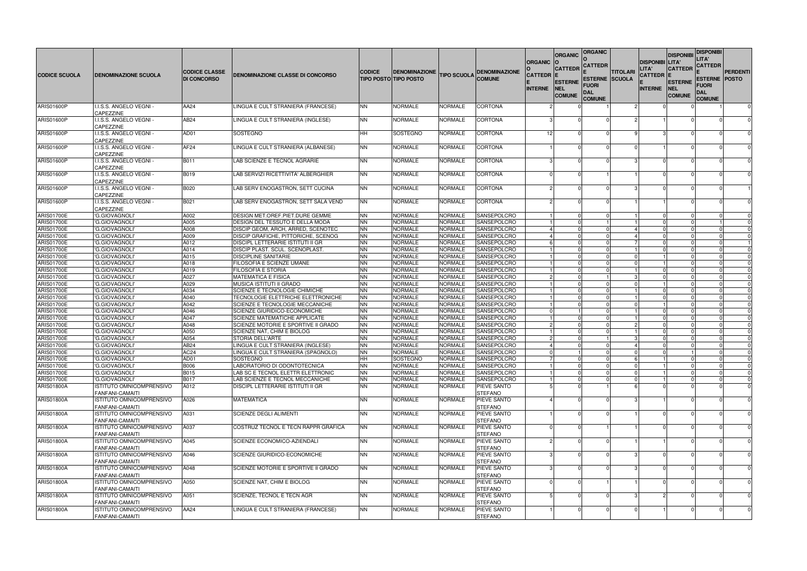| <b>CODICE SCUOLA</b>            | <b>DENOMINAZIONE SCUOLA</b>                | <b>CODICE CLASSE</b><br><b>DI CONCORSO</b> | DENOMINAZIONE CLASSE DI CONCORSO                                      | <b>CODICE</b>          | <b>DENOMINAZIONE</b><br><b>TIPO POSTO TIPO POSTO</b> | <b>TIPO SCUOLA</b> | <b>DENOMINAZIONE</b><br><b>COMUNE</b> | <b>ORGANIC</b><br><b>CATTEDR</b> | <b>ORGANIC</b><br><b>CATTEDR</b><br><b>ESTERNE</b> | <b>ORGANIC</b><br><b>CATTEDR</b><br><b>ESTERNE SCUOLA</b> | <b>TITOLARI</b> | <b>DISPONIBI LITA'</b><br>LITA'<br><b>CATTEDR E</b> | <b>DISPONIBI</b><br><b>CATTEDR</b><br><b>ESTERNE</b> | <b>DISPONIBI</b><br>LITA'<br><b>CATTEDR</b><br><b>ESTERNE POSTO</b> | <b>PERDENTI</b>         |
|---------------------------------|--------------------------------------------|--------------------------------------------|-----------------------------------------------------------------------|------------------------|------------------------------------------------------|--------------------|---------------------------------------|----------------------------------|----------------------------------------------------|-----------------------------------------------------------|-----------------|-----------------------------------------------------|------------------------------------------------------|---------------------------------------------------------------------|-------------------------|
|                                 |                                            |                                            |                                                                       |                        |                                                      |                    |                                       | <b>INTERNE</b>                   | NEL<br><b>COMUNE</b>                               | FUORI<br>DAL<br><b>COMUNE</b>                             |                 | <b>INTERNE</b>                                      | <b>INEL</b><br><b>COMUNE</b>                         | FUORI<br>DAL<br><b>COMUNE</b>                                       |                         |
| <b>ARIS01600P</b>               | .I.S.S. ANGELO VEGNI -<br>CAPEZZINE        | AA24                                       | LINGUA E CULT STRANIERA (FRANCESE)                                    | <b>NN</b>              | <b>NORMALE</b>                                       | <b>NORMALE</b>     | <b>CORTONA</b>                        |                                  |                                                    |                                                           |                 |                                                     |                                                      |                                                                     | $\mathbf 0$             |
| <b>ARIS01600P</b>               | I.I.S.S. ANGELO VEGNI -<br>CAPEZZINE       | AB24                                       | LINGUA E CULT STRANIERA (INGLESE)                                     | <b>NN</b>              | <b>NORMALE</b>                                       | <b>NORMALE</b>     | <b>CORTONA</b>                        |                                  |                                                    |                                                           |                 |                                                     |                                                      |                                                                     |                         |
| <b>ARIS01600P</b>               | I.I.S.S. ANGELO VEGNI -<br>CAPEZZINE       | AD01                                       | <b>SOSTEGNO</b>                                                       | <b>HH</b>              | SOSTEGNO                                             | NORMALE            | <b>CORTONA</b>                        | 12                               |                                                    |                                                           |                 |                                                     |                                                      |                                                                     | $\Omega$                |
| <b>ARIS01600P</b>               | I.I.S.S. ANGELO VEGNI -<br>CAPEZZINE       | AF <sub>24</sub>                           | LINGUA E CULT STRANIERA (ALBANESE)                                    | <b>NN</b>              | NORMALE                                              | NORMALE            | <b>CORTONA</b>                        |                                  |                                                    |                                                           |                 |                                                     |                                                      |                                                                     | $\Omega$                |
| <b>ARIS01600P</b>               | I.I.S.S. ANGELO VEGNI -<br>CAPEZZINE       | B011                                       | LAB SCIENZE E TECNOL AGRARIE                                          | <b>NN</b>              | NORMALE                                              | NORMALE            | <b>CORTONA</b>                        |                                  |                                                    |                                                           |                 |                                                     |                                                      |                                                                     |                         |
| ARIS01600P                      | I.I.S.S. ANGELO VEGNI -<br>CAPEZZINE       | <b>B019</b>                                | LAB SERVIZI RICETTIVITA' ALBERGHIER                                   | <b>NN</b>              | <b>NORMALE</b>                                       | <b>NORMALE</b>     | <b>CORTONA</b>                        |                                  |                                                    |                                                           |                 |                                                     |                                                      |                                                                     | $\Omega$                |
| <b>ARIS01600P</b>               | li.s.s. Angelo vegni (<br><b>CAPEZZINE</b> | B020                                       | LAB SERV ENOGASTRON, SETT CUCINA                                      | <b>NN</b>              | <b>NORMALE</b>                                       | <b>NORMALE</b>     | <b>CORTONA</b>                        |                                  |                                                    |                                                           |                 |                                                     |                                                      |                                                                     |                         |
| <b>ARIS01600P</b>               | I.I.S.S. ANGELO VEGNI -                    | B021                                       | LAB SERV ENOGASTRON. SETT SALA VEND                                   | <b>NN</b>              | <b>NORMALE</b>                                       | <b>NORMALE</b>     | <b>CORTONA</b>                        |                                  |                                                    |                                                           |                 |                                                     |                                                      |                                                                     | $\Omega$                |
| ARIS01700E                      | CAPEZZINE<br>'G.GIOVAGNOLI'                | A002                                       | DESIGN MET.OREF.PIET.DURE GEMME                                       | <b>NN</b>              | <b>NORMALE</b>                                       | <b>NORMALE</b>     | SANSEPOLCRO                           |                                  |                                                    |                                                           |                 |                                                     |                                                      |                                                                     |                         |
| ARIS01700E                      | 'G.GIOVAGNOLI'                             | A005                                       | DESIGN DEL TESSUTO E DELLA MODA                                       | <b>NN</b>              | <b>NORMALE</b>                                       | <b>NORMALE</b>     | SANSEPOLCRO                           |                                  |                                                    |                                                           |                 | $\Omega$                                            |                                                      |                                                                     | $\Omega$                |
| <b>ARIS01700E</b>               | 'G.GIOVAGNOLI                              | A008                                       | DISCIP GEOM, ARCH, ARRED, SCENOTEC                                    | <b>NN</b>              | NORMALE                                              | <b>NORMALE</b>     | <b>SANSEPOLCRO</b>                    |                                  |                                                    |                                                           |                 | $\Omega$                                            |                                                      |                                                                     | $\Omega$                |
| ARIS01700E                      | 'G.GIOVAGNOLI                              | A009                                       | DISCIP GRAFICHE, PITTORICHE, SCENOG                                   | <b>NN</b>              | NORMALE                                              | <b>NORMALE</b>     | SANSEPOLCRO                           |                                  |                                                    |                                                           |                 |                                                     |                                                      |                                                                     | $\Omega$                |
| <b>ARIS01700E</b>               | 'G.GIOVAGNOLI'                             | A012                                       | DISCIPL LETTERARIE ISTITUTI II GR                                     | <b>NN</b>              | NORMALE                                              | <b>NORMALE</b>     | SANSEPOLCRO                           |                                  |                                                    |                                                           |                 | $\Omega$                                            |                                                      |                                                                     |                         |
| ARIS01700E                      | 'G.GIOVAGNOLI                              | A014                                       | DISCIP PLAST. SCUL. SCENOPLAST                                        | <b>NN</b>              | NORMALE                                              | <b>NORMALE</b>     | SANSEPOLCRO                           |                                  |                                                    |                                                           |                 |                                                     |                                                      |                                                                     | $\Omega$                |
| ARIS01700E                      | 'G.GIOVAGNOLI                              | A015                                       | <b>DISCIPLINE SANITARIE</b>                                           | <b>NN</b>              | NORMALE                                              | <b>NORMALE</b>     | SANSEPOLCRO                           |                                  |                                                    |                                                           |                 |                                                     |                                                      |                                                                     | $\Omega$                |
| ARIS01700E                      | 'G.GIOVAGNOLI                              | A018                                       | FILOSOFIA E SCIENZE UMANE                                             |                        | NORMALE                                              | <b>NORMALE</b>     | SANSEPOLCRO                           |                                  |                                                    |                                                           |                 |                                                     |                                                      |                                                                     | $\mathbf 0$             |
| ARIS01700E                      | 'G.GIOVAGNOLI'                             | A019                                       | <b>FILOSOFIA E STORIA</b>                                             | <b>NN</b><br><b>NN</b> | <b>NORMALE</b>                                       | <b>NORMALE</b>     | SANSEPOLCRO                           |                                  |                                                    |                                                           |                 |                                                     |                                                      |                                                                     | $\Omega$                |
| ARIS01700E                      | 'G.GIOVAGNOLI                              | A027                                       | <b>MATEMATICA E FISICA</b>                                            | <b>NN</b>              | NORMALE                                              | <b>NORMALE</b>     | SANSEPOLCRO                           |                                  |                                                    |                                                           | 3               | $\Omega$                                            |                                                      |                                                                     | $\mathbf 0$             |
| ARIS01700E                      | 'G.GIOVAGNOLI'                             | A029                                       | MUSICA ISTITUTI II GRADO                                              | <b>NN</b>              | NORMALE                                              | <b>NORMALE</b>     | SANSEPOLCRO                           |                                  |                                                    |                                                           | $\Omega$        |                                                     |                                                      |                                                                     | $\Omega$                |
|                                 |                                            | A034                                       |                                                                       | <b>NN</b>              | <b>NORMALE</b>                                       | <b>NORMALE</b>     | SANSEPOLCRO                           |                                  |                                                    |                                                           |                 |                                                     |                                                      |                                                                     | $\Omega$                |
| ARIS01700E                      | 'G.GIOVAGNOLI<br>'G.GIOVAGNOLI             | A040                                       | SCIENZE E TECNOLOGIE CHIMICHE                                         | <b>NN</b>              | <b>NORMALE</b>                                       | <b>NORMALE</b>     | SANSEPOLCRO                           |                                  |                                                    |                                                           |                 | $\Omega$                                            |                                                      |                                                                     |                         |
| ARIS01700E<br><b>ARIS01700E</b> | 'G.GIOVAGNOLI'                             | A042                                       | TECNOLOGIE ELETTRICHE ELETTRONICHE<br>SCIENZE E TECNOLOGIE MECCANICHE | <b>NN</b>              | NORMALE                                              | <b>NORMALE</b>     | SANSEPOLCRO                           |                                  |                                                    |                                                           | $\Omega$        |                                                     |                                                      |                                                                     | $\mathbf 0$<br>$\Omega$ |
| ARIS01700E                      | 'G.GIOVAGNOLI                              | A046                                       | SCIENZE GIURIDICO-ECONOMICHE                                          | <b>NN</b>              | <b>NORMALE</b>                                       | <b>NORMALE</b>     | SANSEPOLCRO                           |                                  |                                                    |                                                           |                 |                                                     |                                                      |                                                                     | $\Omega$                |
| <b>ARIS01700E</b>               | 'G.GIOVAGNOLI                              | A047                                       | <b>SCIENZE MATEMATICHE APPLICATE</b>                                  | <b>NN</b>              | <b>NORMALE</b>                                       | <b>NORMALE</b>     | SANSEPOLCRO                           |                                  |                                                    |                                                           |                 | $\Omega$                                            |                                                      |                                                                     | $\mathbf 0$             |
| ARIS01700E                      | 'G.GIOVAGNOLI'                             | A048                                       | SCIENZE MOTORIE E SPORTIVE II GRADO                                   | <b>NN</b>              | <b>NORMALE</b>                                       | <b>NORMALE</b>     | SANSEPOLCRO                           |                                  |                                                    |                                                           | $\overline{2}$  | $\Omega$                                            |                                                      |                                                                     | $\Omega$                |
| ARIS01700E                      | 'G.GIOVAGNOLI                              | A050                                       | SCIENZE NAT, CHIM E BIOLOG                                            | <b>NN</b>              | NORMALE                                              | NORMALE            | SANSEPOLCRO                           |                                  |                                                    |                                                           |                 |                                                     |                                                      |                                                                     | $\Omega$                |
| ARIS01700E                      | 'G.GIOVAGNOLI                              | A054                                       | STORIA DELL'ARTE                                                      | <b>NN</b>              | NORMALE                                              | <b>NORMALE</b>     | SANSEPOLCRO                           |                                  |                                                    |                                                           |                 | $\Omega$                                            |                                                      |                                                                     | $\mathbf 0$             |
| ARIS01700E                      | 'G.GIOVAGNOLI                              | AB24                                       | LINGUA E CULT STRANIERA (INGLESE)                                     | <b>NN</b>              | NORMALE                                              | <b>NORMALE</b>     | SANSEPOLCRO                           |                                  |                                                    |                                                           |                 | $\Omega$                                            |                                                      |                                                                     | $\Omega$                |
| <b>ARIS01700E</b>               | 'G.GIOVAGNOLI'                             | AC <sub>24</sub>                           | LINGUA E CULT STRANIERA (SPAGNOLO)                                    |                        | <b>NORMALE</b>                                       | <b>NORMALE</b>     | SANSEPOLCRO                           |                                  |                                                    |                                                           |                 |                                                     |                                                      |                                                                     |                         |
| <b>ARIS01700E</b>               | 'G.GIOVAGNOLI'                             | AD01                                       | <b>SOSTEGNO</b>                                                       | INN.<br>HH             | SOSTEGNO                                             | <b>NORMALE</b>     | SANSEPOLCRO                           |                                  |                                                    |                                                           |                 | 0                                                   |                                                      | <b>0</b>                                                            | $\mathbf{0}$            |
| ARIS01700E                      | 'G.GIOVAGNOLI'                             | <b>B006</b>                                | LABORATORIO DI ODONTOTECNICA                                          | <b>NN</b>              | <b>NORMALE</b>                                       | <b>NORMALE</b>     | SANSEPOLCRO                           |                                  |                                                    |                                                           |                 |                                                     |                                                      |                                                                     |                         |
| <b>ARIS01700E</b>               | 'G.GIOVAGNOLI'                             | B015                                       | LAB SC E TECNOL ELETTR ELETTRONIC                                     | <b>NN</b>              | <b>NORMALE</b>                                       | <b>NORMALE</b>     | SANSEPOLCRO                           |                                  |                                                    |                                                           |                 |                                                     |                                                      |                                                                     | $\Omega$                |
| <b>ARIS01700E</b>               | 'G.GIOVAGNOLI'                             | <b>B017</b>                                | LAB SCIENZE E TECNOL MECCANICHE                                       | <b>NN</b>              | <b>NORMALE</b>                                       | <b>NORMALE</b>     | SANSEPOLCRO                           |                                  |                                                    |                                                           |                 |                                                     |                                                      |                                                                     | $\mathbf{0}$            |
| ARIS01800A                      | ISTITUTO OMNICOMPRENSIVO                   | A012                                       | DISCIPL LETTERARIE ISTITUTI II GR                                     | <b>NN</b>              | <b>NORMALE</b>                                       | <b>NORMALE</b>     | PIEVE SANTO                           |                                  |                                                    |                                                           |                 |                                                     |                                                      |                                                                     | $\mathbf 0$             |
|                                 | <b>FANFANI-CAMAITI</b>                     |                                            |                                                                       |                        |                                                      |                    | <b>STEFANO</b>                        |                                  |                                                    |                                                           |                 |                                                     |                                                      |                                                                     |                         |
| <b>ARIS01800A</b>               | ISTITUTO OMNICOMPRENSIVO                   | A026                                       | <b>MATEMATICA</b>                                                     | <b>NN</b>              | <b>NORMALE</b>                                       | <b>NORMALE</b>     | <b>PIEVE SANTO</b>                    |                                  |                                                    |                                                           |                 |                                                     |                                                      |                                                                     | $\Omega$                |
|                                 | <b>FANFANI-CAMAITI</b>                     |                                            |                                                                       |                        |                                                      |                    | <b>STEFANO</b>                        |                                  |                                                    |                                                           |                 |                                                     |                                                      |                                                                     |                         |
| ARIS01800A                      | ISTITUTO OMNICOMPRENSIVO                   | A031                                       | <b>SCIENZE DEGLI ALIMENTI</b>                                         | <b>NN</b>              | <b>NORMALE</b>                                       | <b>NORMALE</b>     | PIEVE SANTO                           |                                  |                                                    |                                                           |                 |                                                     |                                                      |                                                                     | $\mathbf 0$             |
|                                 | FANFANI-CAMAITI                            |                                            |                                                                       |                        |                                                      |                    | <b>STEFANO</b>                        |                                  |                                                    |                                                           |                 |                                                     |                                                      |                                                                     |                         |
| <b>ARIS01800A</b>               | <b>ISTITUTO OMNICOMPRENSIVO</b>            | A037                                       | COSTRUZ TECNOL E TECN RAPPR GRAFICA                                   | <b>NN</b>              | <b>NORMALE</b>                                       | <b>NORMALE</b>     | <b>PIEVE SANTO</b>                    |                                  |                                                    |                                                           |                 |                                                     |                                                      |                                                                     | $\mathbf 0$             |
|                                 | FANFANI-CAMAITI                            |                                            |                                                                       |                        |                                                      |                    | STEFANO                               |                                  |                                                    |                                                           |                 |                                                     |                                                      |                                                                     |                         |
| <b>ARIS01800A</b>               | ISTITUTO OMNICOMPRENSIVO                   | A045                                       | SCIENZE ECONOMICO-AZIENDALI                                           | <b>NN</b>              | <b>NORMALE</b>                                       | <b>NORMALE</b>     | PIEVE SANTO                           |                                  |                                                    |                                                           |                 |                                                     |                                                      |                                                                     | $\Omega$                |
|                                 | <b>FANFANI-CAMAITI</b>                     |                                            |                                                                       |                        |                                                      |                    | <b>STEFANO</b>                        |                                  |                                                    |                                                           |                 |                                                     |                                                      |                                                                     |                         |
| <b>ARIS01800A</b>               | ISTITUTO OMNICOMPRENSIVO                   | A046                                       | SCIENZE GIURIDICO-ECONOMICHE                                          | <b>NN</b>              | <b>NORMALE</b>                                       | <b>NORMALE</b>     | PIEVE SANTO                           |                                  |                                                    |                                                           |                 |                                                     |                                                      |                                                                     | 0                       |
|                                 | FANFANI-CAMAITI                            |                                            |                                                                       |                        |                                                      |                    | <b>STEFANO</b>                        |                                  |                                                    |                                                           |                 |                                                     |                                                      |                                                                     |                         |
| ARIS01800A                      | ISTITUTO OMNICOMPRENSIVO                   | A048                                       | SCIENZE MOTORIE E SPORTIVE II GRADO                                   | <b>NN</b>              | <b>NORMALE</b>                                       | NORMALE            | PIEVE SANTO                           |                                  |                                                    |                                                           |                 |                                                     |                                                      |                                                                     | $\mathbf 0$             |
|                                 | <b>FANFANI-CAMAITI</b>                     |                                            |                                                                       |                        |                                                      |                    | <b>STEFANO</b>                        |                                  |                                                    |                                                           |                 |                                                     |                                                      |                                                                     |                         |
| <b>ARIS01800A</b>               | ISTITUTO OMNICOMPRENSIVO                   | A050                                       | SCIENZE NAT, CHIM E BIOLOG                                            | <b>NN</b>              | <b>NORMALE</b>                                       | <b>NORMALE</b>     | PIEVE SANTO                           |                                  |                                                    |                                                           |                 |                                                     |                                                      |                                                                     | $\Omega$                |
|                                 | <b>FANFANI-CAMAITI</b>                     |                                            |                                                                       |                        |                                                      |                    | <b>STEFANO</b>                        |                                  |                                                    |                                                           |                 |                                                     |                                                      |                                                                     |                         |
| <b>ARIS01800A</b>               | ISTITUTO OMNICOMPRENSIVO                   | A051                                       | SCIENZE, TECNOL E TECN AGR                                            | <b>NN</b>              | <b>NORMALE</b>                                       | <b>NORMALE</b>     | PIEVE SANTO                           |                                  |                                                    |                                                           |                 |                                                     |                                                      |                                                                     | $\Omega$                |
|                                 | <b>FANFANI-CAMAITI</b>                     |                                            |                                                                       |                        |                                                      |                    | STEFANO                               |                                  |                                                    |                                                           |                 |                                                     |                                                      |                                                                     |                         |
| <b>ARIS01800A</b>               | ISTITUTO OMNICOMPRENSIVO                   | AA24                                       | LINGUA E CULT STRANIERA (FRANCESE)                                    | <b>NN</b>              | <b>NORMALE</b>                                       | <b>NORMALE</b>     | PIEVE SANTO                           |                                  |                                                    |                                                           |                 |                                                     |                                                      |                                                                     | $\mathbf 0$             |
|                                 | FANFANI-CAMAITI                            |                                            |                                                                       |                        |                                                      |                    | <b>STEFANO</b>                        |                                  |                                                    |                                                           |                 |                                                     |                                                      |                                                                     |                         |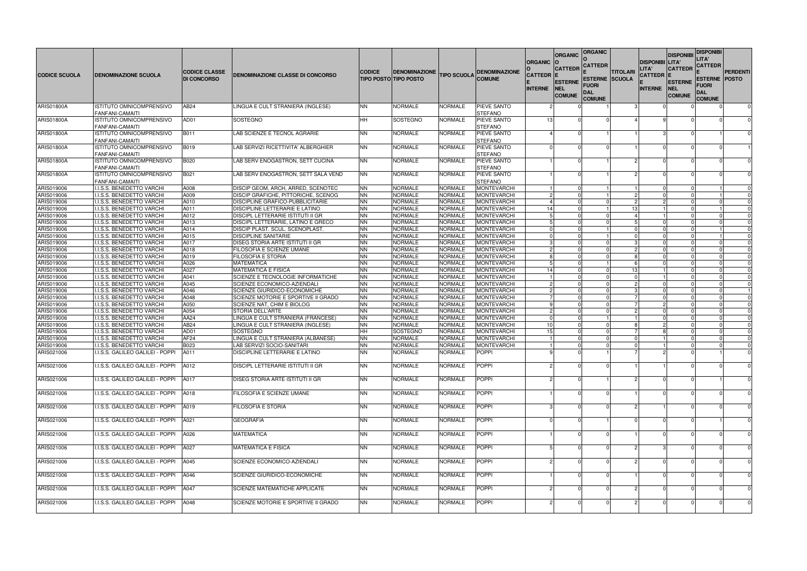| <b>CODICE SCUOLA</b>     | <b>DENOMINAZIONE SCUOLA</b>                                                  | <b>CODICE CLASSE</b><br><b>DI CONCORSO</b> | <b>DENOMINAZIONE CLASSE DI CONCORSO</b>                                        | <b>CODICE</b>          | <b>DENOMINAZIONE</b><br><b>TIPO POSTO TIPO POSTO</b> | <b>TIPO SCUOLA</b>        | <b>DENOMINAZIONE</b><br><b>COMUNE</b>           | <b>ORGANIC</b><br><b>CATTEDR</b><br><b>INTERNE</b> | <b>ORGANIC</b><br><b>CATTEDR</b><br><b>ESTERNE</b><br>NEL<br><b>COMUNE</b> | <b>ORGANIC</b><br>CATTEDR<br><b>ESTERNE SCUOLA</b><br>Fuori<br>DAL<br><b>COMUNE</b> | TITOLARI       | <b>DISPONIBI LITA'</b><br><b>LITA'</b><br>CATTEDR  E<br><b>INTERNE</b> | <b>DISPONIBI</b><br><b>CATTEDR</b><br><b>ESTERNE</b><br><b>INEL</b><br><b>COMUNE</b> | <b>DISPONIBI</b><br>LITA'<br><b>CATTEDR</b><br><b>ESTERNE POSTO</b><br>Fuori<br>DAL<br><b>COMUNE</b> | PERDENTI             |
|--------------------------|------------------------------------------------------------------------------|--------------------------------------------|--------------------------------------------------------------------------------|------------------------|------------------------------------------------------|---------------------------|-------------------------------------------------|----------------------------------------------------|----------------------------------------------------------------------------|-------------------------------------------------------------------------------------|----------------|------------------------------------------------------------------------|--------------------------------------------------------------------------------------|------------------------------------------------------------------------------------------------------|----------------------|
| <b>ARIS01800A</b>        | ISTITUTO OMNICOMPRENSIVO<br><b>FANFANI-CAMAITI</b>                           | AB <sub>24</sub>                           | LINGUA E CULT STRANIERA (INGLESE)                                              | <b>NN</b>              | <b>NORMALE</b>                                       | NORMALE                   | PIEVE SANTO<br><b>STEFANO</b>                   |                                                    |                                                                            |                                                                                     |                |                                                                        |                                                                                      |                                                                                                      | 0                    |
| <b>ARIS01800A</b>        | ISTITUTO OMNICOMPRENSIVO                                                     | AD01                                       | <b>SOSTEGNO</b>                                                                | HH                     | <b>SOSTEGNO</b>                                      | NORMALE                   | PIEVE SANTO                                     | 13                                                 |                                                                            |                                                                                     |                |                                                                        |                                                                                      |                                                                                                      |                      |
| <b>ARIS01800A</b>        | FANFANI-CAMAITI<br>ISTITUTO OMNICOMPRENSIVO                                  | B011                                       | LAB SCIENZE E TECNOL AGRARIE                                                   | <b>NN</b>              | <b>NORMALE</b>                                       | NORMALE                   | <b>STEFANO</b><br>PIEVE SANTO                   |                                                    |                                                                            |                                                                                     |                |                                                                        |                                                                                      |                                                                                                      | $\Omega$             |
| <b>ARIS01800A</b>        | <b>FANFANI-CAMAITI</b><br>ISTITUTO OMNICOMPRENSIVO<br><b>FANFANI-CAMAITI</b> | <b>B019</b>                                | LAB SERVIZI RICETTIVITA' ALBERGHIER                                            | <b>NN</b>              | <b>NORMALE</b>                                       | NORMALE                   | <b>STEFANO</b><br>PIEVE SANTO<br><b>STEFANO</b> |                                                    |                                                                            |                                                                                     |                |                                                                        |                                                                                      |                                                                                                      |                      |
| <b>ARIS01800A</b>        | ISTITUTO OMNICOMPRENSIVO<br>FANFANI-CAMAITI                                  | B020                                       | LAB SERV ENOGASTRON, SETT CUCINA                                               | <b>NN</b>              | <b>NORMALE</b>                                       | NORMALE                   | PIEVE SANTO<br><b>STEFANO</b>                   |                                                    |                                                                            |                                                                                     |                |                                                                        |                                                                                      |                                                                                                      | $\Omega$             |
| <b>ARIS01800A</b>        | ISTITUTO OMNICOMPRENSIVO<br>FANFANI-CAMAITI                                  | B021                                       | LAB SERV ENOGASTRON, SETT SALA VEND                                            | <b>NN</b>              | <b>NORMALE</b>                                       | NORMALE                   | PIEVE SANTO<br><b>STEFANO</b>                   |                                                    |                                                                            |                                                                                     |                |                                                                        |                                                                                      |                                                                                                      | $\Omega$             |
| ARIS019006               | I.I.S.S. BENEDETTO VARCHI                                                    | A008                                       | DISCIP GEOM, ARCH, ARRED, SCENOTEC                                             | <b>NN</b>              | <b>NORMALE</b>                                       | <b>NORMALE</b>            | <b>MONTEVARCHI</b>                              |                                                    |                                                                            |                                                                                     |                | $\Omega$                                                               |                                                                                      |                                                                                                      | $\Omega$             |
| ARIS019006               | I.I.S.S. BENEDETTO VARCHI                                                    | A009                                       | DISCIP GRAFICHE, PITTORICHE, SCENOG                                            | <b>NN</b>              | <b>NORMALE</b>                                       | <b>NORMALE</b>            | MONTEVARCHI                                     |                                                    |                                                                            |                                                                                     | $\overline{c}$ |                                                                        |                                                                                      |                                                                                                      |                      |
| ARIS019006               | I.I.S.S. BENEDETTO VARCHI                                                    | A010                                       | <b>DISCIPLINE GRAFICO-PUBBLICITARIE</b>                                        | <b>NN</b>              | <b>NORMALE</b>                                       | <b>NORMALE</b>            | MONTEVARCHI                                     |                                                    |                                                                            |                                                                                     | $\overline{c}$ |                                                                        |                                                                                      |                                                                                                      |                      |
| ARIS019006<br>ARIS019006 | I.I.S.S. BENEDETTO VARCHI                                                    | A011                                       | DISCIPLINE LETTERARIE E LATINO                                                 | <b>NN</b>              | <b>NORMALE</b>                                       | <b>NORMALE</b>            | <b>MONTEVARCHI</b>                              | 14                                                 |                                                                            |                                                                                     | 13<br>4        |                                                                        |                                                                                      |                                                                                                      | $\Omega$             |
| ARIS019006               | I.I.S.S. BENEDETTO VARCHI<br>I.I.S.S. BENEDETTO VARCHI                       | A012<br>A013                               | <b>DISCIPL LETTERARIE ISTITUTI II GR</b><br>DISCIPL LETTERARIE, LATINO E GRECO | <b>NN</b><br><b>NN</b> | <b>NORMALE</b><br><b>NORMALE</b>                     | NORMALE<br><b>NORMALE</b> | <b>MONTEVARCHI</b><br><b>MONTEVARCHI</b>        |                                                    |                                                                            |                                                                                     |                |                                                                        |                                                                                      |                                                                                                      | $\Omega$<br>$\Omega$ |
| ARIS019006               | I.I.S.S. BENEDETTO VARCHI                                                    | A014                                       | <b>DISCIP PLAST. SCUL. SCENOPLAST</b>                                          | <b>NN</b>              | <b>NORMALE</b>                                       | NORMALE                   | <b>MONTEVARCHI</b>                              |                                                    |                                                                            |                                                                                     |                |                                                                        |                                                                                      |                                                                                                      | $\Omega$             |
| ARIS019006               | I.I.S.S. BENEDETTO VARCHI                                                    | A015                                       | <b>DISCIPLINE SANITARIE</b>                                                    | <b>NN</b>              | <b>NORMALE</b>                                       | <b>NORMALE</b>            | <b>MONTEVARCHI</b>                              |                                                    |                                                                            |                                                                                     | $\Omega$       |                                                                        |                                                                                      |                                                                                                      | $\Omega$             |
| ARIS019006               | I.I.S.S. BENEDETTO VARCHI                                                    | A017                                       | <b>IDISEG STORIA ARTE ISTITUTI II GR</b>                                       | <b>NN</b>              | <b>NORMALE</b>                                       | <b>NORMALE</b>            | <b>MONTEVARCHI</b>                              |                                                    |                                                                            |                                                                                     | 3              |                                                                        |                                                                                      |                                                                                                      | $\Omega$             |
| ARIS019006               | I.I.S.S. BENEDETTO VARCHI                                                    | A018                                       | <b>FILOSOFIA E SCIENZE UMANE</b>                                               | <b>NN</b>              | <b>NORMALE</b>                                       | NORMALE                   | <b>MONTEVARCHI</b>                              |                                                    |                                                                            |                                                                                     | $\mathcal{P}$  |                                                                        |                                                                                      |                                                                                                      | $\Omega$             |
| ARIS019006               | I.I.S.S. BENEDETTO VARCHI                                                    | A019                                       | <b>FILOSOFIA E STORIA</b>                                                      | <b>NN</b>              | <b>NORMALE</b>                                       | <b>NORMALE</b>            | <b>MONTEVARCHI</b>                              |                                                    |                                                                            |                                                                                     | 8              |                                                                        |                                                                                      |                                                                                                      | $\Omega$             |
| ARIS019006               | I.I.S.S. BENEDETTO VARCHI                                                    | A026                                       | <b>MATEMATICA</b>                                                              | <b>NN</b>              | <b>NORMALE</b>                                       | NORMALE                   | <b>MONTEVARCHI</b>                              |                                                    |                                                                            |                                                                                     | -6             |                                                                        |                                                                                      |                                                                                                      | $\Omega$             |
| ARIS019006               | I.I.S.S. BENEDETTO VARCHI                                                    | A027                                       | <b>MATEMATICA E FISICA</b>                                                     | <b>NN</b>              | <b>NORMALE</b>                                       | <b>NORMALE</b>            | <b>MONTEVARCHI</b>                              | -14                                                |                                                                            |                                                                                     | 13             |                                                                        |                                                                                      |                                                                                                      | $\Omega$             |
| ARIS019006               | I.I.S.S. BENEDETTO VARCHI                                                    | A041                                       | SCIENZE E TECNOLOGIE INFORMATICHE                                              | <b>NN</b>              | <b>NORMALE</b>                                       | <b>NORMALE</b>            | <b>MONTEVARCHI</b>                              |                                                    |                                                                            |                                                                                     | $\Omega$       |                                                                        |                                                                                      |                                                                                                      | $\mathbf 0$          |
| ARIS019006               | I.I.S.S. BENEDETTO VARCHI                                                    | A045                                       | SCIENZE ECONOMICO-AZIENDALI                                                    | <b>NN</b>              | <b>NORMALE</b>                                       | NORMALE                   | <b>MONTEVARCHI</b>                              |                                                    |                                                                            |                                                                                     | $\overline{c}$ |                                                                        |                                                                                      |                                                                                                      | $\Omega$             |
| ARIS019006               | I.I.S.S. BENEDETTO VARCHI                                                    | A046                                       | <b>SCIENZE GIURIDICO-ECONOMICHE</b>                                            | <b>NN</b>              | <b>NORMALE</b>                                       | NORMALE                   | <b>MONTEVARCHI</b>                              |                                                    |                                                                            |                                                                                     | 3              |                                                                        |                                                                                      |                                                                                                      |                      |
| ARIS019006               | I.I.S.S. BENEDETTO VARCHI                                                    | A048                                       | SCIENZE MOTORIE E SPORTIVE II GRADO                                            | <b>NN</b>              | <b>NORMALE</b>                                       | <b>NORMALE</b>            | MONTEVARCHI                                     |                                                    |                                                                            |                                                                                     |                | $\Omega$<br>2                                                          |                                                                                      |                                                                                                      | $\mathbf 0$          |
| ARIS019006<br>ARIS019006 | I.I.S.S. BENEDETTO VARCHI                                                    | A050<br>A054                               | <b>SCIENZE NAT, CHIM E BIOLOG</b><br><b>STORIA DELL'ARTE</b>                   | <b>NN</b><br><b>NN</b> | <b>NORMALE</b><br><b>NORMALE</b>                     | <b>NORMALE</b><br>NORMALE | <b>MONTEVARCHI</b><br><b>MONTEVARCHI</b>        |                                                    |                                                                            |                                                                                     | $\overline{c}$ |                                                                        |                                                                                      |                                                                                                      | $\Omega$<br>$\Omega$ |
| ARIS019006               | I.I.S.S. BENEDETTO VARCHI<br>I.I.S.S. BENEDETTO VARCHI                       | AA24                                       | LINGUA E CULT STRANIERA (FRANCESE)                                             | <b>NN</b>              | <b>NORMALE</b>                                       | <b>NORMALE</b>            | <b>MONTEVARCHI</b>                              |                                                    |                                                                            |                                                                                     |                |                                                                        |                                                                                      |                                                                                                      | 0                    |
| ARIS019006               | I.I.S.S. BENEDETTO VARCHI                                                    | AB24                                       | LINGUA E CULT STRANIERA (INGLESE)                                              | <b>NN</b>              | <b>NORMALE</b>                                       | <b>NORMALE</b>            | <b>MONTEVARCHI</b>                              | 10 <sup>1</sup>                                    |                                                                            |                                                                                     | 8              |                                                                        |                                                                                      |                                                                                                      | $\Omega$             |
| ARIS019006               | I.I.S.S. BENEDETTO VARCHI                                                    | AD01                                       | SOSTEGNO                                                                       | HH                     | SOSTEGNO                                             | NORMALE                   | <b>MONTEVARCHI</b>                              | 15                                                 |                                                                            |                                                                                     |                |                                                                        |                                                                                      |                                                                                                      | $\Omega$             |
| ARIS019006               | <b>I.I.S.S. BENEDETTO VARCHI</b>                                             | AF24                                       | LINGUA E CULT STRANIERA (ALBANESE)                                             | <b>NN</b>              | <b>NORMALE</b>                                       | NORMALE                   | <b>MONTEVARCHI</b>                              |                                                    |                                                                            |                                                                                     |                |                                                                        |                                                                                      |                                                                                                      | $\Omega$             |
| ARIS019006               | I.I.S.S. BENEDETTO VARCHI                                                    | B023                                       | LAB SERVIZI SOCIO-SANITARI                                                     | <b>NN</b>              | <b>NORMALE</b>                                       | <b>NORMALE</b>            | <b>MONTEVARCHI</b>                              |                                                    |                                                                            |                                                                                     |                |                                                                        |                                                                                      |                                                                                                      |                      |
| ARIS021006               | I.I.S.S. GALILEO GALILEI - POPPI                                             | A011                                       | DISCIPLINE LETTERARIE E LATINO                                                 | INN.                   | <b>NORMALE</b>                                       | NORMALE                   | <b>POPPI</b>                                    |                                                    |                                                                            |                                                                                     |                |                                                                        |                                                                                      |                                                                                                      |                      |
| ARIS021006               | I.I.S.S. GALILEO GALILEI - POPPI                                             | A012                                       | <b>DISCIPL LETTERARIE ISTITUTI II GR</b>                                       | <b>NN</b>              | <b>NORMALE</b>                                       | <b>NORMALE</b>            | <b>POPPI</b>                                    |                                                    |                                                                            |                                                                                     |                |                                                                        |                                                                                      |                                                                                                      | $\mathbf 0$          |
| ARIS021006               | I.I.S.S. GALILEO GALILEI - POPPI                                             | A017                                       | <b>DISEG STORIA ARTE ISTITUTI II GR</b>                                        | <b>NN</b>              | <b>NORMALE</b>                                       | <b>NORMALE</b>            | <b>POPPI</b>                                    |                                                    |                                                                            |                                                                                     |                |                                                                        |                                                                                      |                                                                                                      | $\mathbf 0$          |
| ARIS021006               | I.I.S.S. GALILEO GALILEI - POPPI                                             | A018                                       | FILOSOFIA E SCIENZE UMANE                                                      | <b>NN</b>              | <b>NORMALE</b>                                       | <b>NORMALE</b>            | <b>POPPI</b>                                    |                                                    |                                                                            |                                                                                     |                |                                                                        |                                                                                      |                                                                                                      | 0                    |
| ARIS021006               | I.I.S.S. GALILEO GALILEI - POPPI                                             | A019                                       | <b>FILOSOFIA E STORIA</b>                                                      | <b>NN</b>              | <b>NORMALE</b>                                       | <b>NORMALE</b>            | POPPI                                           |                                                    |                                                                            |                                                                                     |                |                                                                        |                                                                                      |                                                                                                      | $\Omega$             |
| ARIS021006               | I.I.S.S. GALILEO GALILEI - POPPI                                             | A021                                       | <b>GEOGRAFIA</b>                                                               | <b>NN</b>              | <b>NORMALE</b>                                       | <b>NORMALE</b>            | <b>POPPI</b>                                    |                                                    |                                                                            |                                                                                     |                |                                                                        |                                                                                      |                                                                                                      | $\mathbf 0$          |
| ARIS021006               | I.I.S.S. GALILEO GALILEI - POPPI                                             | A026                                       | <b>MATEMATICA</b>                                                              | <b>NN</b>              | <b>NORMALE</b>                                       | <b>NORMALE</b>            | <b>POPPI</b>                                    |                                                    |                                                                            |                                                                                     |                |                                                                        |                                                                                      |                                                                                                      | $\mathbf 0$          |
| ARIS021006               | I.I.S.S. GALILEO GALILEI - POPPI                                             | A027                                       | <b>MATEMATICA E FISICA</b>                                                     | <b>NN</b>              | <b>NORMALE</b>                                       | <b>NORMALE</b>            | <b>POPPI</b>                                    |                                                    |                                                                            |                                                                                     |                |                                                                        |                                                                                      |                                                                                                      | $\mathbf 0$          |
| ARIS021006               | I.I.S.S. GALILEO GALILEI - POPPI                                             | A045                                       | SCIENZE ECONOMICO-AZIENDALI                                                    | <b>NN</b>              | <b>NORMALE</b>                                       | <b>NORMALE</b>            | <b>POPPI</b>                                    |                                                    | $\mathcal{P}$                                                              |                                                                                     |                |                                                                        |                                                                                      |                                                                                                      | $\mathbf 0$          |
| ARIS021006               | I.I.S.S. GALILEO GALILEI - POPPI                                             | A046                                       | SCIENZE GIURIDICO-ECONOMICHE                                                   | <b>NN</b>              | <b>NORMALE</b>                                       | <b>NORMALE</b>            | <b>POPPI</b>                                    |                                                    |                                                                            |                                                                                     |                |                                                                        |                                                                                      |                                                                                                      | $\mathbf 0$          |
| ARIS021006               | I.I.S.S. GALILEO GALILEI - POPPI                                             | A047                                       | <b>SCIENZE MATEMATICHE APPLICATE</b>                                           | <b>NN</b>              | <b>NORMALE</b>                                       | <b>NORMALE</b>            | POPPI                                           |                                                    |                                                                            |                                                                                     |                |                                                                        |                                                                                      |                                                                                                      | $\mathbf 0$          |
| ARIS021006               | I.I.S.S. GALILEO GALILEI - POPPI                                             | A048                                       | SCIENZE MOTORIE E SPORTIVE II GRADO                                            | <b>NN</b>              | <b>NORMALE</b>                                       | <b>NORMALE</b>            | <b>POPPI</b>                                    |                                                    |                                                                            |                                                                                     |                |                                                                        |                                                                                      |                                                                                                      | $\mathbf 0$          |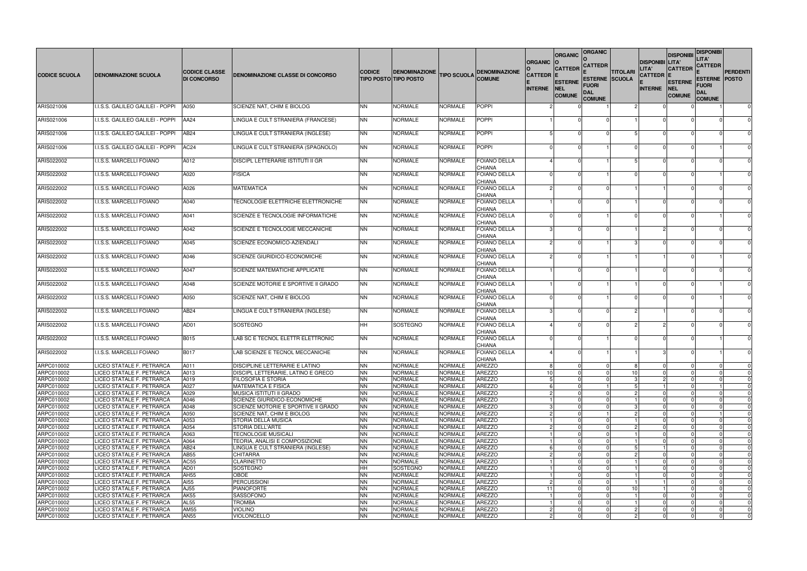|                          |                                                        | <b>CODICE CLASSE</b> |                                                         | <b>CODICE</b>          | <b>DENOMINAZIONE</b>              |                           | <b>DENOMINAZIONE</b>                 | <b>ORGANIC</b>                   | <b>ORGANIC</b><br><b>CATTEDR</b>       | <b>ORGANIC</b><br><b>CATTEDR</b>                                     | <b>TITOLARI</b> | <b>DISPONIBI LITA'</b><br>LITA'    | <b>DISPONIBI</b><br><b>CATTEDR</b>            | <b>DISPONIBI</b><br>LITA'<br><b>CATTEDR</b>                         | <b>PERDENTI</b> |
|--------------------------|--------------------------------------------------------|----------------------|---------------------------------------------------------|------------------------|-----------------------------------|---------------------------|--------------------------------------|----------------------------------|----------------------------------------|----------------------------------------------------------------------|-----------------|------------------------------------|-----------------------------------------------|---------------------------------------------------------------------|-----------------|
| <b>CODICE SCUOLA</b>     | <b>DENOMINAZIONE SCUOLA</b>                            | <b>DI CONCORSO</b>   | <b>DENOMINAZIONE CLASSE DI CONCORSO</b>                 |                        | <b>TIPO POSTO TIPO POSTO</b>      | <b>TIPO SCUOLA</b>        | <b>COMUNE</b>                        | <b>CATTEDR</b><br><b>INTERNE</b> | <b>ESTERNE</b><br>NEL<br><b>COMUNE</b> | <b>ESTERNE SCUOLA</b><br><b>FUORI</b><br><b>DAL</b><br><b>COMUNE</b> |                 | <b>CATTEDR E</b><br><b>INTERNE</b> | <b>ESTERNE</b><br><b>NEL</b><br><b>COMUNE</b> | <b>ESTERNE POSTO</b><br><b>FUORI</b><br><b>DAL</b><br><b>COMUNE</b> |                 |
| ARIS021006               | I.I.S.S. GALILEO GALILEI - POPPI                       | A050                 | SCIENZE NAT, CHIM E BIOLOG                              | <b>NN</b>              | <b>NORMALE</b>                    | <b>NORMALE</b>            | POPPI                                |                                  |                                        |                                                                      |                 |                                    |                                               |                                                                     | $\mathbf{0}$    |
| ARIS021006               | I.I.S.S. GALILEO GALILEI - POPPI                       | AA24                 | LINGUA E CULT STRANIERA (FRANCESE)                      | <b>NN</b>              | <b>NORMALE</b>                    | <b>NORMALE</b>            | <b>POPPI</b>                         |                                  |                                        |                                                                      |                 | $\Omega$                           |                                               |                                                                     |                 |
| ARIS021006               | I.I.S.S. GALILEO GALILEI - POPPI                       | AB24                 | LINGUA E CULT STRANIERA (INGLESE)                       | <b>NN</b>              | <b>NORMALE</b>                    | NORMALE                   | <b>POPPI</b>                         |                                  |                                        |                                                                      |                 |                                    |                                               |                                                                     |                 |
| ARIS021006               | I.I.S.S. GALILEO GALILEI - POPPI                       | AC <sub>24</sub>     | LINGUA E CULT STRANIERA (SPAGNOLO)                      | <b>NN</b>              | <b>NORMALE</b>                    | <b>NORMALE</b>            | POPPI                                |                                  |                                        |                                                                      |                 | $\Omega$                           |                                               |                                                                     |                 |
| ARIS022002               | I.I.S.S. MARCELLI FOIANO                               | A012                 | <b>DISCIPL LETTERARIE ISTITUTI II GR</b>                | <b>NN</b>              | <b>NORMALE</b>                    | <b>NORMALE</b>            | <b>FOIANO DELLA</b><br><b>CHIANA</b> |                                  |                                        |                                                                      |                 | $\Omega$                           | $\Omega$                                      |                                                                     |                 |
| ARIS022002               | I.I.S.S. MARCELLI FOIANO                               | A020                 | <b>FISICA</b>                                           | <b>NN</b>              | <b>NORMALE</b>                    | <b>NORMALE</b>            | <b>FOIANO DELLA</b><br><b>CHIANA</b> |                                  |                                        |                                                                      |                 | $\Omega$                           | $\Omega$                                      |                                                                     |                 |
| ARIS022002               | I.I.S.S. MARCELLI FOIANO                               | A026                 | <b>MATEMATICA</b>                                       | <b>NN</b>              | <b>NORMALE</b>                    | <b>NORMALE</b>            | <b>FOIANO DELLA</b><br><b>CHIANA</b> |                                  |                                        |                                                                      |                 |                                    |                                               |                                                                     |                 |
| ARIS022002               | I.I.S.S. MARCELLI FOIANO                               | A040                 | TECNOLOGIE ELETTRICHE ELETTRONICHE                      | <b>NN</b>              | <b>NORMALE</b>                    | <b>NORMALE</b>            | <b>FOIANO DELLA</b><br><b>CHIANA</b> |                                  |                                        |                                                                      |                 | $\Omega$                           |                                               |                                                                     |                 |
| ARIS022002               | I.I.S.S. MARCELLI FOIANO                               | A041                 | <b>SCIENZE E TECNOLOGIE INFORMATICHE</b>                | <b>NN</b>              | <b>NORMALE</b>                    | <b>NORMALE</b>            | <b>FOIANO DELLA</b><br><b>CHIANA</b> |                                  |                                        |                                                                      |                 |                                    |                                               |                                                                     |                 |
| ARIS022002               | I.I.S.S. MARCELLI FOIANO                               | A042                 | SCIENZE E TECNOLOGIE MECCANICHE                         | <b>NN</b>              | <b>NORMALE</b>                    | <b>NORMALE</b>            | <b>FOIANO DELLA</b><br><b>CHIANA</b> |                                  |                                        |                                                                      |                 | 2                                  |                                               | $\Omega$                                                            |                 |
| ARIS022002               | I.I.S.S. MARCELLI FOIANO                               | A045                 | SCIENZE ECONOMICO-AZIENDALI                             | <b>NN</b>              | <b>NORMALE</b>                    | <b>NORMALE</b>            | FOIANO DELLA<br><b>CHIANA</b>        |                                  |                                        |                                                                      |                 | $\Omega$                           | $\Omega$                                      |                                                                     |                 |
| ARIS022002               | I.I.S.S. MARCELLI FOIANO                               | A046                 | SCIENZE GIURIDICO-ECONOMICHE                            | <b>NN</b>              | <b>NORMALE</b>                    | NORMALE                   | <b>FOIANO DELLA</b><br><b>CHIANA</b> |                                  |                                        |                                                                      |                 |                                    |                                               |                                                                     |                 |
| ARIS022002               | I.I.S.S. MARCELLI FOIANO                               | A047                 | <b>SCIENZE MATEMATICHE APPLICATE</b>                    | <b>NN</b>              | <b>NORMALE</b>                    | NORMALE                   | <b>FOIANO DELLA</b><br><b>CHIANA</b> |                                  |                                        |                                                                      |                 | $\Omega$                           |                                               |                                                                     |                 |
| ARIS022002               | I.I.S.S. MARCELLI FOIANO                               | A048                 | SCIENZE MOTORIE E SPORTIVE II GRADO                     | <b>NN</b>              | <b>NORMALE</b>                    | NORMALE                   | <b>FOIANO DELLA</b><br><b>CHIANA</b> |                                  |                                        |                                                                      |                 | $\Omega$                           | $\Omega$                                      |                                                                     |                 |
| ARIS022002               | I.I.S.S. MARCELLI FOIANO                               | A050                 | SCIENZE NAT, CHIM E BIOLOG                              | <b>NN</b>              | <b>NORMALE</b>                    | <b>NORMALE</b>            | <b>FOIANO DELLA</b><br><b>CHIANA</b> |                                  |                                        |                                                                      |                 | $\Omega$                           | $\Omega$                                      |                                                                     |                 |
| ARIS022002               | I.I.S.S. MARCELLI FOIANO                               | AB <sub>24</sub>     | LINGUA E CULT STRANIERA (INGLESE)                       | <b>NN</b>              | <b>NORMALE</b>                    | <b>NORMALE</b>            | <b>FOIANO DELLA</b><br><b>CHIANA</b> |                                  |                                        |                                                                      |                 |                                    |                                               |                                                                     |                 |
| ARIS022002               | I.I.S.S. MARCELLI FOIANO                               | AD01                 | SOSTEGNO                                                | <b>HH</b>              | SOSTEGNO                          | NORMALE                   | <b>FOIANO DELLA</b><br><b>CHIANA</b> |                                  |                                        |                                                                      |                 | $\mathcal{P}$                      | $\Omega$                                      |                                                                     |                 |
| ARIS022002               | I.I.S.S. MARCELLI FOIANO                               | <b>B015</b>          | LAB SC E TECNOL ELETTR ELETTRONIC                       | <b>NN</b>              | <b>NORMALE</b>                    | NORMALE                   | <b>FOIANO DELLA</b><br><b>CHIANA</b> |                                  |                                        |                                                                      |                 | <sup>0</sup>                       |                                               |                                                                     |                 |
| ARIS022002               | I.I.S.S. MARCELLI FOIANO                               | <b>B017</b>          | LAB SCIENZE E TECNOL MECCANICHE                         | <b>NN</b>              | <b>NORMALE</b>                    | <b>NORMALE</b>            | <b>FOIANO DELLA</b><br><b>CHIANA</b> |                                  |                                        |                                                                      |                 |                                    |                                               |                                                                     |                 |
| ARPC010002               | LICEO STATALE F. PETRARCA                              | A011                 | DISCIPLINE LETTERARIE E LATINO                          | <b>NN</b>              | <b>NORMALE</b>                    | NORMALE                   | <b>AREZZO</b>                        |                                  |                                        |                                                                      |                 | $\overline{0}$                     |                                               |                                                                     |                 |
| ARPC010002               | LICEO STATALE F. PETRARCA                              | A013                 | DISCIPL LETTERARIE, LATINO E GRECO                      | <b>NN</b>              | <b>NORMALE</b>                    | <b>NORMALE</b>            | <b>AREZZO</b>                        | 10                               |                                        |                                                                      | 10              | $\overline{0}$                     | $\Omega$                                      | $\Omega$                                                            |                 |
| ARPC010002<br>ARPC010002 | LICEO STATALE F. PETRARCA<br>LICEO STATALE F. PETRARCA | A019<br>A027         | <b>FILOSOFIA E STORIA</b><br><b>MATEMATICA E FISICA</b> | <b>NN</b><br><b>NN</b> | <b>NORMALE</b><br><b>NORMALE</b>  | NORMALE<br><b>NORMALE</b> | <b>AREZZO</b><br><b>AREZZO</b>       |                                  |                                        |                                                                      |                 | $\overline{2}$                     | $\Omega$                                      | $\Omega$                                                            | $\Omega$        |
| ARPC010002               | LICEO STATALE F. PETRARCA                              | A029                 | MUSICA ISTITUTI II GRADO                                | <b>NN</b>              | <b>NORMALE</b>                    | NORMALE                   | <b>AREZZO</b>                        |                                  |                                        |                                                                      |                 | $\Omega$                           |                                               | $\Omega$                                                            |                 |
| ARPC010002               | LICEO STATALE F. PETRARCA                              | A046                 | <b>SCIENZE GIURIDICO-ECONOMICHE</b>                     | <b>NN</b>              | <b>NORMALE</b>                    | NORMALE                   | <b>AREZZO</b>                        |                                  |                                        |                                                                      |                 | $\Omega$                           |                                               | $\Omega$                                                            |                 |
| ARPC010002               | LICEO STATALE F. PETRARCA                              | A048                 | ISCIENZE MOTORIE E SPORTIVE II GRADO                    | <b>NN</b>              | <b>NORMALE</b>                    | NORMALE                   | <b>AREZZO</b>                        |                                  |                                        |                                                                      |                 | $\Omega$                           | $\Omega$                                      | 0                                                                   |                 |
| ARPC010002               | LICEO STATALE F. PETRARCA                              | A050                 | SCIENZE NAT. CHIM E BIOLOG                              | <b>NN</b>              | <b>NORMALE</b>                    | <b>NORMALE</b>            | <b>AREZZO</b>                        |                                  |                                        |                                                                      |                 | $\Omega$                           | $\Omega$                                      |                                                                     |                 |
| ARPC010002               | LICEO STATALE F. PETRARCA                              | A053                 | <b>STORIA DELLA MUSICA</b>                              | <b>NN</b>              | <b>NORMALE</b>                    | <b>NORMALE</b>            | <b>AREZZO</b>                        |                                  |                                        |                                                                      |                 | $\Omega$                           |                                               | $\Omega$                                                            |                 |
| ARPC010002               | LICEO STATALE F. PETRARCA                              | A054                 | <b>STORIA DELL'ARTE</b>                                 | <b>NN</b>              | <b>NORMALE</b>                    | NORMALE                   | <b>AREZZO</b>                        |                                  |                                        |                                                                      |                 | $\Omega$                           | - 0                                           | 0                                                                   |                 |
| ARPC010002               | LICEO STATALE F. PETRARCA                              | A063                 | <b>TECNOLOGIE MUSICALI</b>                              | <b>NN</b>              | <b>NORMALE</b>                    | <b>NORMALE</b>            | <b>AREZZO</b>                        |                                  |                                        |                                                                      |                 | $\overline{0}$                     | - 0                                           | $\Omega$                                                            |                 |
| ARPC010002               | LICEO STATALE F. PETRARCA                              | A064                 | TEORIA, ANALISI E COMPOSIZIONE                          | <b>NN</b>              | <b>NORMALE</b>                    | NORMALE                   | <b>AREZZO</b>                        |                                  |                                        |                                                                      |                 | $\Omega$                           |                                               |                                                                     |                 |
| ARPC010002               | LICEO STATALE F. PETRARCA                              | AB24                 | LINGUA E CULT STRANIERA (INGLESE)                       | <b>NN</b>              | <b>NORMALE</b>                    | NORMALE                   | <b>AREZZO</b>                        |                                  |                                        |                                                                      |                 |                                    | $\Omega$                                      | $\Omega$                                                            |                 |
| ARPC010002               | LICEO STATALE F. PETRARCA                              | AB55                 | <b>CHITARRA</b>                                         | <b>NN</b>              | <b>NORMALE</b>                    | NORMALE                   | <b>AREZZO</b>                        |                                  |                                        |                                                                      |                 | $\Omega$                           | $\Omega$                                      | $\Omega$                                                            | $\Omega$        |
| ARPC010002<br>ARPC010002 | LICEO STATALE F. PETRARCA<br>LICEO STATALE F. PETRARCA | AC55<br>AD01         | <b>CLARINETTO</b><br>SOSTEGNO                           | <b>NN</b><br><b>HH</b> | <b>NORMALE</b><br><b>SOSTEGNO</b> | <b>NORMALE</b><br>NORMALE | <b>AREZZO</b><br><b>AREZZO</b>       |                                  |                                        |                                                                      |                 | $\Omega$                           | $\Omega$                                      | $\Omega$                                                            | $\Omega$        |
| ARPC010002               | LICEO STATALE F. PETRARCA                              | AH55                 | <b>OBOE</b>                                             | <b>NN</b>              | <b>NORMALE</b>                    | NORMALE                   | <b>AREZZO</b>                        |                                  |                                        |                                                                      |                 | $\Omega$                           | $\Omega$                                      | $\Omega$                                                            |                 |
| ARPC010002               | LICEO STATALE F. PETRARCA                              | AI55                 | <b>PERCUSSIONI</b>                                      | <b>NN</b>              | <b>NORMALE</b>                    | NORMALE                   | <b>AREZZO</b>                        |                                  |                                        |                                                                      |                 |                                    |                                               |                                                                     |                 |
| ARPC010002               | LICEO STATALE F. PETRARCA                              | AJ55                 | PIANOFORTE                                              | <b>NN</b>              | <b>NORMALE</b>                    | NORMALE                   | <b>AREZZO</b>                        | 11                               |                                        |                                                                      | 10              |                                    | $\Omega$                                      | $\Omega$                                                            |                 |
| ARPC010002               | LICEO STATALE F. PETRARCA                              | AK55                 | SASSOFONO                                               | <b>NN</b>              | <b>NORMALE</b>                    | NORMALE                   | <b>AREZZO</b>                        |                                  |                                        |                                                                      |                 | $\Omega$                           | $\Omega$                                      | $\Omega$                                                            |                 |
| ARPC010002               | LICEO STATALE F. PETRARCA                              | <b>AL55</b>          | <b>TROMBA</b>                                           | <b>NN</b>              | <b>NORMALE</b>                    | NORMALE                   | <b>AREZZO</b>                        |                                  |                                        |                                                                      |                 |                                    |                                               | $\Omega$                                                            |                 |
| ARPC010002               | LICEO STATALE F. PETRARCA                              | AM55                 | <b>VIOLINO</b>                                          | <b>NN</b>              | <b>NORMALE</b>                    | NORMALE                   | <b>AREZZO</b>                        |                                  |                                        |                                                                      |                 | $\Omega$                           | - 0                                           | 0                                                                   | $\Omega$        |
| ARPC010002               | LICEO STATALE F. PETRARCA                              | <b>AN55</b>          | <b>VIOLONCELLO</b>                                      | <b>NN</b>              | <b>NORMALE</b>                    | <b>NORMALE</b>            | <b>AREZZO</b>                        |                                  |                                        |                                                                      | $\overline{2}$  | $\overline{0}$                     | $\overline{0}$                                | $\mathbf 0$                                                         | $\Omega$        |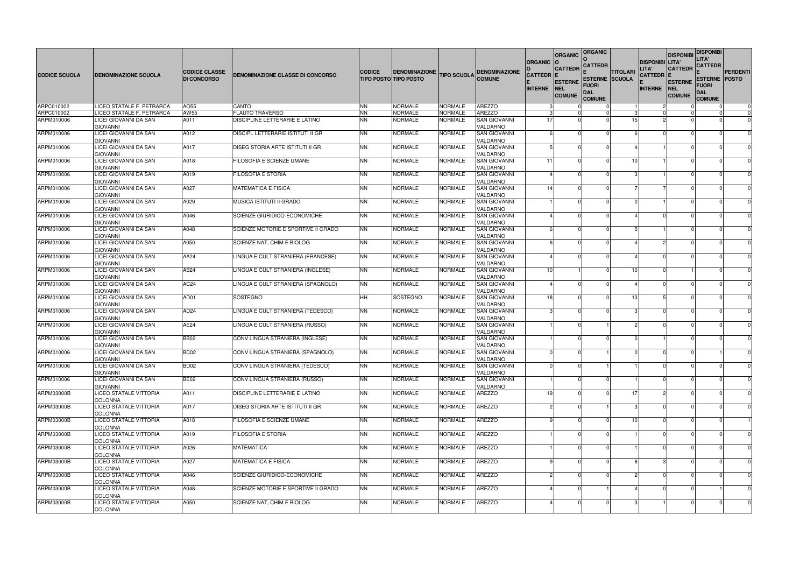| <b>CODICE SCUOLA</b> | <b>DENOMINAZIONE SCUOLA</b>                                 | <b>CODICE CLASSE</b><br><b>DI CONCORSO</b> | DENOMINAZIONE CLASSE DI CONCORSO         | <b>CODICE</b> | <b>DENOMINAZIONE</b><br><b>TIPO POSTO TIPO POSTO</b> | <b>TIPO SCUOLA</b> | <b>DENOMINAZIONE</b><br><b>COMUNE</b>       | <b>ORGANIC</b><br><b>CATTEDR E</b><br><b>INTERNE</b> | <b>ORGANIC</b><br><b>CATTEDR</b><br><b>ESTERNE</b><br><b>NEL</b><br><b>COMUNE</b> | <b>ORGANIC</b><br><b>CATTEDR</b><br>FUORI<br><b>DAL</b><br><b>COMUNE</b> | <b>TITOLARI</b><br><b>ESTERNE SCUOLA</b> | <b>DISPONIBI LITA'</b><br>LITA'<br><b>CATTEDR E</b><br><b>INTERNE</b> | <b>DISPONIBI</b><br><b>CATTEDR</b><br><b>ESTERNE</b><br><b>NEL</b><br><b>COMUNE</b> | <b>DISPONIBI</b><br>LITA'<br><b>CATTEDR</b><br><b>ESTERNE POSTO</b><br>Fuori<br>DAL<br><b>COMUNE</b> | <b>PERDENTI</b> |
|----------------------|-------------------------------------------------------------|--------------------------------------------|------------------------------------------|---------------|------------------------------------------------------|--------------------|---------------------------------------------|------------------------------------------------------|-----------------------------------------------------------------------------------|--------------------------------------------------------------------------|------------------------------------------|-----------------------------------------------------------------------|-------------------------------------------------------------------------------------|------------------------------------------------------------------------------------------------------|-----------------|
| ARPC010002           | LICEO STATALE F. PETRARCA                                   | AO55                                       | CANTO                                    | <b>NN</b>     | <b>NORMALE</b>                                       | <b>NORMALE</b>     | <b>AREZZO</b>                               |                                                      |                                                                                   |                                                                          |                                          |                                                                       |                                                                                     |                                                                                                      | 0               |
| ARPC010002           | LICEO STATALE F. PETRARCA                                   | AW55                                       | <b>FLAUTO TRAVERSO</b>                   | <b>NN</b>     | <b>NORMALE</b>                                       | <b>NORMALE</b>     | <b>AREZZO</b>                               |                                                      |                                                                                   |                                                                          |                                          |                                                                       |                                                                                     |                                                                                                      | $\Omega$        |
| ARPM010006           | LICEI GIOVANNI DA SAN<br><b>GIOVANNI</b>                    | A011                                       | DISCIPLINE LETTERARIE E LATINO           | <b>NN</b>     | <b>NORMALE</b>                                       | NORMALE            | <b>SAN GIOVANNI</b><br>VALDARNO             | -17                                                  |                                                                                   |                                                                          | 15                                       |                                                                       |                                                                                     |                                                                                                      | $\Omega$        |
| ARPM010006           | <b>LICEI GIOVANNI DA SAN</b><br><b>GIOVANNI</b>             | A012                                       | <b>DISCIPL LETTERARIE ISTITUTI II GR</b> | <b>NN</b>     | <b>NORMALE</b>                                       | NORMALE            | <b>SAN GIOVANNI</b><br>VALDARNO             |                                                      |                                                                                   |                                                                          |                                          |                                                                       |                                                                                     |                                                                                                      | $\Omega$        |
| ARPM010006           | LICEI GIOVANNI DA SAN<br><b>GIOVANNI</b>                    | A017                                       | DISEG STORIA ARTE ISTITUTI II GR         | <b>NN</b>     | <b>NORMALE</b>                                       | <b>NORMALE</b>     | <b>SAN GIOVANNI</b><br>VALDARNO             |                                                      |                                                                                   |                                                                          |                                          |                                                                       |                                                                                     |                                                                                                      | $\Omega$        |
| ARPM010006           | LICEI GIOVANNI DA SAN<br><b>GIOVANNI</b>                    | A018                                       | FILOSOFIA E SCIENZE UMANE                | <b>NN</b>     | <b>NORMALE</b>                                       | <b>NORMALE</b>     | <b>SAN GIOVANNI</b><br>VALDARNO             | 11                                                   |                                                                                   |                                                                          | 10                                       |                                                                       |                                                                                     |                                                                                                      | $\Omega$        |
| ARPM010006           | LICEI GIOVANNI DA SAN<br><b>GIOVANNI</b>                    | A019                                       | <b>FILOSOFIA E STORIA</b>                | <b>NN</b>     | <b>NORMALE</b>                                       | <b>NORMALE</b>     | <b>SAN GIOVANNI</b><br>VALDARNO             |                                                      |                                                                                   |                                                                          |                                          |                                                                       |                                                                                     |                                                                                                      | $\Omega$        |
| ARPM010006           | LICEI GIOVANNI DA SAN<br><b>GIOVANNI</b>                    | A027                                       | <b>MATEMATICA E FISICA</b>               | <b>NN</b>     | <b>NORMALE</b>                                       | <b>NORMALE</b>     | <b>SAN GIOVANNI</b><br>VALDARNO             | 14                                                   |                                                                                   |                                                                          |                                          |                                                                       |                                                                                     |                                                                                                      | $\Omega$        |
| ARPM010006           | LICEI GIOVANNI DA SAN<br><b>GIOVANNI</b>                    | A029                                       | MUSICA ISTITUTI II GRADO                 | <b>NN</b>     | <b>NORMALE</b>                                       | <b>NORMALE</b>     | <b>SAN GIOVANNI</b><br>VALDARNO             |                                                      |                                                                                   |                                                                          |                                          |                                                                       |                                                                                     |                                                                                                      | $\Omega$        |
| ARPM010006           | LICEI GIOVANNI DA SAN                                       | A046                                       | SCIENZE GIURIDICO-ECONOMICHE             | <b>NN</b>     | <b>NORMALE</b>                                       | <b>NORMALE</b>     | <b>SAN GIOVANNI</b><br>VALDARNO             |                                                      |                                                                                   |                                                                          |                                          |                                                                       |                                                                                     |                                                                                                      | $\Omega$        |
| ARPM010006           | <b>GIOVANNI</b><br>LICEI GIOVANNI DA SAN                    | A048                                       | SCIENZE MOTORIE E SPORTIVE II GRADO      | <b>NN</b>     | <b>NORMALE</b>                                       | <b>NORMALE</b>     | <b>SAN GIOVANNI</b>                         |                                                      |                                                                                   |                                                                          |                                          |                                                                       |                                                                                     |                                                                                                      | $\Omega$        |
| ARPM010006           | <b>GIOVANNI</b><br><b>LICEI GIOVANNI DA SAN</b>             | A050                                       | SCIENZE NAT, CHIM E BIOLOG               | <b>NN</b>     | <b>NORMALE</b>                                       | <b>NORMALE</b>     | VALDARNO<br><b>SAN GIOVANNI</b>             |                                                      |                                                                                   |                                                                          |                                          |                                                                       |                                                                                     |                                                                                                      | $\Omega$        |
| ARPM010006           | <b>GIOVANNI</b><br>LICEI GIOVANNI DA SAN                    | AA24                                       | LINGUA E CULT STRANIERA (FRANCESE)       | <b>NN</b>     | <b>NORMALE</b>                                       | <b>NORMALE</b>     | VALDARNO<br><b>SAN GIOVANNI</b>             |                                                      |                                                                                   |                                                                          |                                          |                                                                       |                                                                                     |                                                                                                      | $\Omega$        |
| ARPM010006           | <b>GIOVANNI</b><br>LICEI GIOVANNI DA SAN                    | AB24                                       | LINGUA E CULT STRANIERA (INGLESE)        | <b>NN</b>     | <b>NORMALE</b>                                       | <b>NORMALE</b>     | VALDARNO<br><b>SAN GIOVANNI</b>             | -10                                                  |                                                                                   |                                                                          | 10                                       |                                                                       |                                                                                     |                                                                                                      | $\Omega$        |
| ARPM010006           | <b>GIOVANNI</b><br>LICEI GIOVANNI DA SAN<br><b>GIOVANNI</b> | AC <sub>24</sub>                           | LINGUA E CULT STRANIERA (SPAGNOLO)       | <b>NN</b>     | <b>NORMALE</b>                                       | NORMALE            | VALDARNO<br><b>SAN GIOVANNI</b><br>VALDARNO |                                                      |                                                                                   |                                                                          |                                          |                                                                       |                                                                                     |                                                                                                      | $\Omega$        |
| ARPM010006           | LICEI GIOVANNI DA SAN<br><b>GIOVANNI</b>                    | AD01                                       | SOSTEGNO                                 | <b>HH</b>     | SOSTEGNO                                             | <b>NORMALE</b>     | <b>SAN GIOVANNI</b><br>VALDARNO             | 18                                                   |                                                                                   |                                                                          | 13                                       |                                                                       |                                                                                     |                                                                                                      | $\Omega$        |
| ARPM010006           | LICEI GIOVANNI DA SAN<br><b>GIOVANNI</b>                    | AD <sub>24</sub>                           | LINGUA E CULT STRANIERA (TEDESCO)        | <b>NN</b>     | <b>NORMALE</b>                                       | <b>NORMALE</b>     | <b>SAN GIOVANNI</b><br>VALDARNO             |                                                      |                                                                                   |                                                                          |                                          |                                                                       |                                                                                     |                                                                                                      | $\Omega$        |
| ARPM010006           | LICEI GIOVANNI DA SAN<br><b>GIOVANNI</b>                    | AE24                                       | LINGUA E CULT STRANIERA (RUSSO)          | <b>NN</b>     | <b>NORMALE</b>                                       | <b>NORMALE</b>     | <b>SAN GIOVANNI</b><br>VALDARNO             |                                                      |                                                                                   |                                                                          |                                          |                                                                       |                                                                                     |                                                                                                      | $\Omega$        |
| ARPM010006           | LICEI GIOVANNI DA SAN<br><b>GIOVANNI</b>                    | <b>BB02</b>                                | CONV LINGUA STRANIERA (INGLESE)          | <b>NN</b>     | <b>NORMALE</b>                                       | <b>NORMALE</b>     | <b>SAN GIOVANNI</b><br>VALDARNO             |                                                      |                                                                                   |                                                                          |                                          |                                                                       | $\cap$                                                                              |                                                                                                      | $\Omega$        |
| ARPM010006           | LICEI GIOVANNI DA SAN<br><b>GIOVANNI</b>                    | BC02                                       | CONV LINGUA STRANIERA (SPAGNOLO)         | INN.          | <b>NORMALE</b>                                       | <b>NORMALE</b>     | <b>SAN GIOVANNI</b><br>VALDARNO             |                                                      |                                                                                   |                                                                          |                                          |                                                                       |                                                                                     |                                                                                                      |                 |
| ARPM010006           | <b>LICEI GIOVANNI DA SAN</b><br><b>GIOVANNI</b>             | BD <sub>02</sub>                           | CONV LINGUA STRANIERA (TEDESCO)          | <b>NN</b>     | <b>NORMALE</b>                                       | <b>NORMALE</b>     | <b>SAN GIOVANNI</b><br>VALDARNO             |                                                      |                                                                                   |                                                                          |                                          |                                                                       |                                                                                     |                                                                                                      | $\mathbf 0$     |
| ARPM010006           | LICEI GIOVANNI DA SAN<br><b>GIOVANNI</b>                    | BE <sub>02</sub>                           | CONV LINGUA STRANIERA (RUSSO)            | <b>NN</b>     | NORMALE                                              | <b>NORMALE</b>     | <b>SAN GIOVANNI</b><br>VALDARNO             |                                                      |                                                                                   |                                                                          |                                          |                                                                       |                                                                                     |                                                                                                      | $\mathbf 0$     |
| ARPM03000B           | LICEO STATALE VITTORIA<br><b>COLONNA</b>                    | A011                                       | DISCIPLINE LETTERARIE E LATINO           | <b>NN</b>     | <b>NORMALE</b>                                       | NORMALE            | <b>AREZZO</b>                               | 19                                                   |                                                                                   |                                                                          | 17                                       |                                                                       |                                                                                     |                                                                                                      | $\mathbf 0$     |
| <b>ARPM03000B</b>    | <b>LICEO STATALE VITTORIA</b><br><b>COLONNA</b>             | A017                                       | DISEG STORIA ARTE ISTITUTI II GR         | <b>NN</b>     | NORMALE                                              | <b>NORMALE</b>     | <b>AREZZO</b>                               |                                                      |                                                                                   |                                                                          |                                          |                                                                       |                                                                                     |                                                                                                      | $\mathbf 0$     |
| ARPM03000B           | LICEO STATALE VITTORIA<br><b>COLONNA</b>                    | A018                                       | FILOSOFIA E SCIENZE UMANE                | <b>NN</b>     | <b>NORMALE</b>                                       | <b>NORMALE</b>     | <b>AREZZO</b>                               |                                                      |                                                                                   |                                                                          | 10                                       |                                                                       |                                                                                     |                                                                                                      |                 |
| ARPM03000B           | LICEO STATALE VITTORIA<br><b>COLONNA</b>                    | A019                                       | FILOSOFIA E STORIA                       | <b>NN</b>     | <b>NORMALE</b>                                       | NORMALE            | <b>AREZZO</b>                               |                                                      |                                                                                   |                                                                          |                                          |                                                                       |                                                                                     |                                                                                                      | 0               |
| ARPM03000B           | LICEO STATALE VITTORIA<br><b>COLONNA</b>                    | A026                                       | <b>MATEMATICA</b>                        | <b>NN</b>     | <b>NORMALE</b>                                       | NORMALE            | <b>AREZZO</b>                               |                                                      |                                                                                   |                                                                          |                                          |                                                                       |                                                                                     |                                                                                                      | $\mathbf 0$     |
| ARPM03000B           | LICEO STATALE VITTORIA<br><b>COLONNA</b>                    | A027                                       | <b>MATEMATICA E FISICA</b>               | <b>NN</b>     | <b>NORMALE</b>                                       | <b>NORMALE</b>     | <b>AREZZO</b>                               |                                                      |                                                                                   |                                                                          |                                          |                                                                       |                                                                                     |                                                                                                      | $\mathbf 0$     |
| ARPM03000B           | <b>LICEO STATALE VITTORIA</b><br><b>COLONNA</b>             | A046                                       | SCIENZE GIURIDICO-ECONOMICHE             | <b>NN</b>     | <b>NORMALE</b>                                       | <b>NORMALE</b>     | <b>AREZZO</b>                               |                                                      |                                                                                   |                                                                          |                                          |                                                                       |                                                                                     |                                                                                                      | $\mathbf 0$     |
| ARPM03000B           | LICEO STATALE VITTORIA<br><b>COLONNA</b>                    | A048                                       | SCIENZE MOTORIE E SPORTIVE II GRADO      | <b>NN</b>     | NORMALE                                              | <b>NORMALE</b>     | <b>AREZZO</b>                               |                                                      |                                                                                   |                                                                          |                                          |                                                                       |                                                                                     |                                                                                                      | $\mathbf 0$     |
| ARPM03000B           | LICEO STATALE VITTORIA<br><b>COLONNA</b>                    | A050                                       | SCIENZE NAT, CHIM E BIOLOG               | <b>NN</b>     | NORMALE                                              | <b>NORMALE</b>     | AREZZO                                      |                                                      |                                                                                   |                                                                          |                                          |                                                                       |                                                                                     |                                                                                                      | $\mathbf 0$     |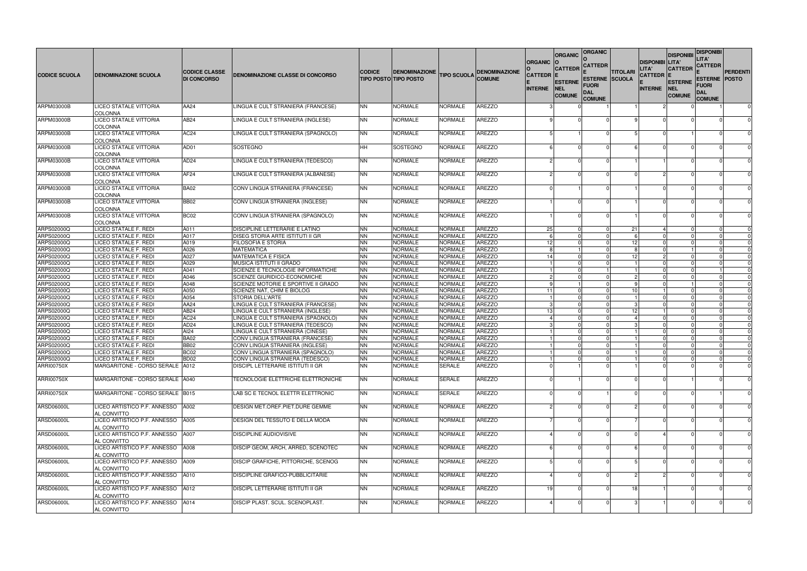|                                 |                                                       |                                            |                                                                   |                        |                                                      |                           |                                       | <b>ORGANIC</b>                     | <b>ORGANIC</b>                                                  | <b>ORGANIC</b><br><b>CATTEDR</b>             |                       | <b>DISPONIBI</b>                      | <b>DISPONIBI</b><br><b>LITA'</b>                                | <b>DISPONIBI</b><br>LITA'<br><b>CATTEDR</b> |                      |
|---------------------------------|-------------------------------------------------------|--------------------------------------------|-------------------------------------------------------------------|------------------------|------------------------------------------------------|---------------------------|---------------------------------------|------------------------------------|-----------------------------------------------------------------|----------------------------------------------|-----------------------|---------------------------------------|-----------------------------------------------------------------|---------------------------------------------|----------------------|
| <b>CODICE SCUOLA</b>            | <b>DENOMINAZIONE SCUOLA</b>                           | <b>CODICE CLASSE</b><br><b>DI CONCORSO</b> | DENOMINAZIONE CLASSE DI CONCORSO                                  | <b>CODICE</b>          | <b>DENOMINAZIONE</b><br><b>TIPO POSTO TIPO POSTO</b> | <b>TIPO SCUOLA</b>        | <b>DENOMINAZIONE</b><br><b>COMUNE</b> | <b>CATTEDR E</b><br><b>INTERNE</b> | <b>CATTEDR</b><br><b>ESTERNE</b><br><b>NEL</b><br><b>COMUNE</b> | <b>ESTERNE SCUOLA</b><br>Fuori<br><b>DAL</b> | <b>TITOLARI</b>       | LITA'<br>CATTEDR  E<br><b>INTERNE</b> | <b>CATTEDR</b><br><b>ESTERNE</b><br><b>NEL</b><br><b>COMUNE</b> | <b>ESTERNE POSTO</b><br>Fuori<br><b>DAL</b> | <b>PERDENTI</b>      |
| ARPM03000B                      | LICEO STATALE VITTORIA                                | AA24                                       | LINGUA E CULT STRANIERA (FRANCESE)                                | <b>NN</b>              | <b>NORMALE</b>                                       | <b>NORMALE</b>            | <b>AREZZO</b>                         |                                    |                                                                 | <b>COMUNE</b>                                |                       |                                       |                                                                 | <b>COMUNE</b>                               | $\mathbf 0$          |
| ARPM03000B                      | COLONNA<br>LICEO STATALE VITTORIA                     | AB24                                       | LINGUA E CULT STRANIERA (INGLESE)                                 | <b>NN</b>              | <b>NORMALE</b>                                       | <b>NORMALE</b>            | <b>AREZZO</b>                         |                                    |                                                                 |                                              |                       |                                       |                                                                 |                                             |                      |
|                                 | <b>COLONNA</b>                                        |                                            |                                                                   |                        |                                                      |                           |                                       |                                    |                                                                 |                                              |                       |                                       |                                                                 |                                             |                      |
| ARPM03000B                      | LICEO STATALE VITTORIA<br><b>COLONNA</b>              | AC24                                       | LINGUA E CULT STRANIERA (SPAGNOLO)                                | <b>NN</b>              | <b>NORMALE</b>                                       | NORMALE                   | <b>AREZZO</b>                         |                                    |                                                                 |                                              |                       |                                       |                                                                 |                                             | $\Omega$             |
| ARPM03000B                      | LICEO STATALE VITTORIA<br>COLONNA                     | AD01                                       | SOSTEGNO                                                          | <b>HH</b>              | SOSTEGNO                                             | <b>NORMALE</b>            | <b>AREZZO</b>                         |                                    |                                                                 |                                              |                       |                                       |                                                                 |                                             | $\Omega$             |
| ARPM03000B                      | LICEO STATALE VITTORIA<br><b>COLONNA</b>              | AD <sub>24</sub>                           | LINGUA E CULT STRANIERA (TEDESCO)                                 | <b>NN</b>              | <b>NORMALE</b>                                       | <b>NORMALE</b>            | <b>AREZZO</b>                         |                                    |                                                                 |                                              |                       |                                       |                                                                 |                                             | $\Omega$             |
| <b>ARPM03000B</b>               | LICEO STATALE VITTORIA<br><b>COLONNA</b>              | AF <sub>24</sub>                           | LINGUA E CULT STRANIERA (ALBANESE)                                | <b>NN</b>              | <b>NORMALE</b>                                       | <b>NORMALE</b>            | <b>AREZZO</b>                         |                                    |                                                                 |                                              |                       |                                       |                                                                 |                                             | $\Omega$             |
| ARPM03000B                      | LICEO STATALE VITTORIA<br>COLONNA                     | <b>BA02</b>                                | CONV LINGUA STRANIERA (FRANCESE)                                  | <b>NN</b>              | <b>NORMALE</b>                                       | <b>NORMALE</b>            | <b>AREZZO</b>                         |                                    |                                                                 |                                              |                       |                                       |                                                                 |                                             | $\Omega$             |
| ARPM03000B                      | <b>LICEO STATALE VITTORIA</b><br><b>COLONNA</b>       | <b>BB02</b>                                | CONV LINGUA STRANIERA (INGLESE)                                   | <b>NN</b>              | <b>NORMALE</b>                                       | <b>NORMALE</b>            | AREZZO                                |                                    |                                                                 |                                              |                       |                                       |                                                                 |                                             | $\Omega$             |
| <b>ARPM03000B</b>               | LICEO STATALE VITTORIA<br>COLONNA                     | BC02                                       | CONV LINGUA STRANIERA (SPAGNOLO)                                  | <b>NN</b>              | <b>NORMALE</b>                                       | <b>NORMALE</b>            | <b>AREZZO</b>                         |                                    |                                                                 |                                              |                       |                                       |                                                                 |                                             |                      |
| ARPS02000Q                      | LICEO STATALE F. REDI                                 | A011                                       | <b>DISCIPLINE LETTERARIE E LATINO</b>                             | <b>NN</b>              | <b>NORMALE</b>                                       | <b>NORMALE</b>            | <b>AREZZO</b>                         | 25                                 |                                                                 |                                              | 21                    |                                       |                                                                 |                                             | $\Omega$             |
| ARPS02000Q                      | LICEO STATALE F. REDI                                 | A017                                       | DISEG STORIA ARTE ISTITUTI II GR                                  | <b>NN</b>              | <b>NORMALE</b>                                       | <b>NORMALE</b>            | <b>AREZZO</b>                         |                                    |                                                                 |                                              |                       |                                       |                                                                 |                                             |                      |
| ARPS02000Q                      | LICEO STATALE F. REDI                                 | A019                                       | <b>FILOSOFIA E STORIA</b>                                         | <b>NN</b>              | <b>NORMALE</b>                                       | <b>NORMALE</b>            | <b>AREZZO</b>                         | 12                                 |                                                                 |                                              | 12                    |                                       |                                                                 |                                             | $\Omega$             |
| <b>ARPS02000Q</b>               | LICEO STATALE F. REDI                                 | A026                                       | <b>MATEMATICA</b>                                                 | <b>NN</b>              | <b>NORMALE</b>                                       | <b>NORMALE</b>            | <b>AREZZO</b>                         |                                    |                                                                 |                                              |                       |                                       |                                                                 |                                             | $\Omega$             |
| <b>ARPS02000Q</b>               | LICEO STATALE F. REDI                                 | A027                                       | <b>MATEMATICA E FISICA</b>                                        | <b>NN</b>              | <b>NORMALE</b>                                       | NORMALE                   | AREZZO                                | 14                                 |                                                                 |                                              | 12                    |                                       |                                                                 |                                             | $\mathbf 0$          |
| ARPS02000Q                      | LICEO STATALE F. REDI                                 | A029                                       | MUSICA ISTITUTI II GRADO                                          | <b>NN</b>              | <b>NORMALE</b>                                       | <b>NORMALE</b>            | <b>AREZZO</b>                         |                                    |                                                                 |                                              |                       |                                       |                                                                 |                                             | $\Omega$             |
| ARPS02000Q                      | LICEO STATALE F. REDI<br><b>LICEO STATALE F. REDI</b> | A041<br>A046                               | SCIENZE E TECNOLOGIE INFORMATICHE                                 | <b>NN</b><br><b>NN</b> | <b>NORMALE</b>                                       | NORMALE<br><b>NORMALE</b> | <b>AREZZO</b><br><b>AREZZO</b>        |                                    |                                                                 |                                              | 2                     |                                       |                                                                 |                                             | $\Omega$             |
| ARPS02000Q<br><b>ARPS02000Q</b> |                                                       |                                            | SCIENZE GIURIDICO-ECONOMICHE                                      | <b>NN</b>              | <b>NORMALE</b>                                       |                           | <b>AREZZO</b>                         |                                    |                                                                 |                                              | <b>C</b>              |                                       |                                                                 |                                             | $\Omega$<br>$\Omega$ |
| ARPS02000Q                      | LICEO STATALE F. REDI<br>LICEO STATALE F. REDI        | A048<br>A050                               | SCIENZE MOTORIE E SPORTIVE II GRADO<br>SCIENZE NAT, CHIM E BIOLOG | <b>NN</b>              | <b>NORMALE</b><br><b>NORMALE</b>                     | NORMALE<br><b>NORMALE</b> | <b>AREZZO</b>                         | -11                                |                                                                 |                                              | 10                    |                                       |                                                                 |                                             | $\Omega$             |
| ARPS02000Q                      | LICEO STATALE F. REDI                                 | A054                                       | STORIA DELL'ARTE                                                  | <b>NN</b>              | <b>NORMALE</b>                                       | <b>NORMALE</b>            | <b>AREZZO</b>                         |                                    |                                                                 |                                              |                       |                                       |                                                                 |                                             | $\Omega$             |
| <b>ARPS02000Q</b>               | LICEO STATALE F. REDI                                 | AA24                                       | LINGUA E CULT STRANIERA (FRANCESE)                                | <b>NN</b>              | <b>NORMALE</b>                                       | NORMALE                   | <b>AREZZO</b>                         |                                    |                                                                 |                                              | З                     |                                       |                                                                 |                                             | $\Omega$             |
| ARPS02000Q                      | LICEO STATALE F. REDI                                 | AB24                                       | LINGUA E CULT STRANIERA (INGLESE)                                 | <b>NN</b>              | <b>NORMALE</b>                                       | <b>NORMALE</b>            | <b>AREZZO</b>                         | 13                                 |                                                                 |                                              | 12                    |                                       |                                                                 |                                             | $\Omega$             |
| ARPS02000Q                      | LICEO STATALE F. REDI                                 | AC <sub>24</sub>                           | LINGUA E CULT STRANIERA (SPAGNOLO)                                | <b>NN</b>              | <b>NORMALE</b>                                       | <b>NORMALE</b>            | <b>AREZZO</b>                         |                                    |                                                                 |                                              | $\boldsymbol{\Delta}$ |                                       |                                                                 |                                             | $\mathbf 0$          |
| ARPS02000Q                      | LICEO STATALE F. REDI                                 | AD <sub>24</sub>                           | LINGUA E CULT STRANIERA (TEDESCO)                                 | <b>NN</b>              | <b>NORMALE</b>                                       | <b>NORMALE</b>            | <b>AREZZO</b>                         |                                    |                                                                 |                                              |                       |                                       |                                                                 |                                             | $\Omega$             |
| ARPS02000Q                      | LICEO STATALE F. REDI                                 | Al24                                       | LINGUA E CULT STRANIERA (CINESE)                                  | <b>NN</b>              | <b>NORMALE</b>                                       | NORMALE                   | <b>AREZZO</b>                         |                                    |                                                                 |                                              |                       |                                       |                                                                 |                                             | $\Omega$             |
| ARPS02000Q                      | LICEO STATALE F. REDI                                 | <b>BA02</b>                                | CONV LINGUA STRANIERA (FRANCESE)                                  | <b>NN</b>              | <b>NORMALE</b>                                       | NORMALE                   | <b>AREZZO</b>                         |                                    |                                                                 |                                              |                       |                                       |                                                                 |                                             | 0                    |
| ARPS02000Q                      | LICEO STATALE F. REDI                                 | <b>BB02</b>                                | CONV LINGUA STRANIERA (INGLESE)                                   | <b>NN</b>              | <b>NORMALE</b>                                       | NORMALE                   | <b>AREZZO</b>                         |                                    |                                                                 |                                              |                       |                                       |                                                                 |                                             |                      |
| ARPS02000Q                      | LICEO STATALE F. REDI                                 | BC <sub>02</sub>                           | CONV LINGUA STRANIERA (SPAGNOLO)                                  | <b>NN</b>              | NORMALE                                              | NORMALE                   | AREZZO                                |                                    |                                                                 |                                              |                       |                                       |                                                                 | <b>0</b>                                    |                      |
| ARPS02000Q                      | LICEO STATALE F. REDI                                 | BD <sub>02</sub>                           | CONV LINGUA STRANIERA (TEDESCO)                                   | <b>NN</b>              | <b>NORMALE</b>                                       | <b>NORMALE</b>            | <b>AREZZO</b>                         |                                    |                                                                 |                                              |                       |                                       |                                                                 |                                             | $\mathbf 0$          |
| ARRI00750X                      | MARGARITONE - CORSO SERALE   A012                     |                                            | DISCIPL LETTERARIE ISTITUTI II GR                                 | <b>NN</b>              | <b>NORMALE</b>                                       | SERALE                    | <b>AREZZO</b>                         |                                    |                                                                 |                                              |                       |                                       |                                                                 |                                             |                      |
| ARRI00750X                      | MARGARITONE - CORSO SERALE 1A040                      |                                            | TECNOLOGIE ELETTRICHE ELETTRONICHE                                | <b>NN</b>              | <b>NORMALE</b>                                       | <b>SERALE</b>             | <b>AREZZO</b>                         |                                    |                                                                 |                                              |                       |                                       |                                                                 |                                             | $\mathbf 0$          |
| ARRI00750X                      | MARGARITONE - CORSO SERALE   B015                     |                                            | LAB SC E TECNOL ELETTR ELETTRONIC                                 | <b>NN</b>              | <b>NORMALE</b>                                       | <b>SERALE</b>             | <b>AREZZO</b>                         |                                    |                                                                 |                                              |                       |                                       |                                                                 |                                             | $\Omega$             |
| ARSD06000L                      | LICEO ARTISTICO P.F. ANNESSO<br>AL CONVITTO           | A002                                       | DESIGN MET.OREF.PIET.DURE GEMME                                   | <b>NN</b>              | <b>NORMALE</b>                                       | <b>NORMALE</b>            | AREZZO                                |                                    |                                                                 |                                              |                       |                                       |                                                                 |                                             | 0                    |
| ARSD06000L                      | LICEO ARTISTICO P.F. ANNESSO<br>AL CONVITTO           | A005                                       | DESIGN DEL TESSUTO E DELLA MODA                                   | <b>NN</b>              | <b>NORMALE</b>                                       | <b>NORMALE</b>            | AREZZO                                |                                    |                                                                 |                                              |                       |                                       |                                                                 |                                             | $\Omega$             |
| ARSD06000L                      | LICEO ARTISTICO P.F. ANNESSO<br>AL CONVITTO           | A007                                       | DISCIPLINE AUDIOVISIVE                                            | <b>NN</b>              | <b>NORMALE</b>                                       | <b>NORMALE</b>            | <b>AREZZO</b>                         |                                    |                                                                 |                                              |                       |                                       |                                                                 |                                             | $\Omega$             |
| ARSD06000L                      | LICEO ARTISTICO P.F. ANNESSO<br>AL CONVITTO           | A008                                       | DISCIP GEOM, ARCH, ARRED, SCENOTEC                                | <b>NN</b>              | <b>NORMALE</b>                                       | <b>NORMALE</b>            | <b>AREZZO</b>                         |                                    |                                                                 |                                              |                       |                                       |                                                                 |                                             | $\Omega$             |
| ARSD06000L                      | LICEO ARTISTICO P.F. ANNESSO<br>AL CONVITTO           | A009                                       | DISCIP GRAFICHE, PITTORICHE, SCENOG                               | <b>NN</b>              | <b>NORMALE</b>                                       | <b>NORMALE</b>            | AREZZO                                |                                    |                                                                 |                                              |                       |                                       |                                                                 |                                             | $\Omega$             |
| ARSD06000L                      | LICEO ARTISTICO P.F. ANNESSO<br>AL CONVITTO           | A010                                       | <b>DISCIPLINE GRAFICO-PUBBLICITARIE</b>                           | <b>NN</b>              | <b>NORMALE</b>                                       | <b>NORMALE</b>            | <b>AREZZO</b>                         |                                    |                                                                 |                                              |                       |                                       |                                                                 |                                             | $\Omega$             |
| ARSD06000L                      | LICEO ARTISTICO P.F. ANNESSO<br>AL CONVITTO           | A012                                       | <b>DISCIPL LETTERARIE ISTITUTI II GR</b>                          | <b>NN</b>              | <b>NORMALE</b>                                       | <b>NORMALE</b>            | AREZZO                                | 19                                 |                                                                 |                                              | 18                    |                                       |                                                                 |                                             | $\Omega$             |
| ARSD06000L                      | LICEO ARTISTICO P.F. ANNESSO<br>AL CONVITTO           | A014                                       | DISCIP PLAST. SCUL. SCENOPLAST.                                   | <b>NN</b>              | <b>NORMALE</b>                                       | <b>NORMALE</b>            | AREZZO                                |                                    |                                                                 |                                              |                       |                                       |                                                                 |                                             | $\mathbf 0$          |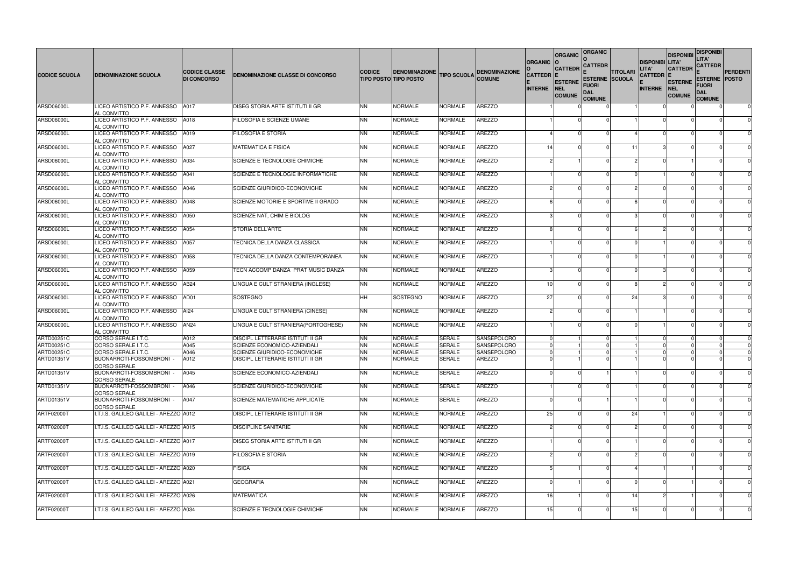| <b>CODICE SCUOLA</b> | <b>DENOMINAZIONE SCUOLA</b>                                | <b>CODICE CLASSE</b><br><b>DI CONCORSO</b> | DENOMINAZIONE CLASSE DI CONCORSO         | <b>CODICE</b>  | <b>DENOMINAZIONE</b><br><b>TIPO POSTO TIPO POSTO</b> | <b>TIPO SCUOLA</b> | <b>DENOMINAZIONE</b><br><b>COMUNE</b> | <b>ORGANIC</b><br><b>CATTEDR E</b><br><b>INTERNE</b> | <b>ORGANIC</b><br><b>CATTEDR</b><br><b>ESTERNE</b><br>NEL<br><b>COMUNE</b> | <b>ORGANIC</b><br><b>CATTEDR</b><br><b>ESTERNE SCUOLA</b><br>FUORI<br><b>DAL</b><br><b>COMUNE</b> | <b>TITOLARI</b> | <b>DISPONIBI LITA'</b><br>LITA'<br><b>CATTEDR E</b><br><b>INTERNE</b> | <b>DISPONIBI</b><br><b>CATTEDR</b><br><b>ESTERNE</b><br><b>NEL</b><br><b>COMUNE</b> | <b>DISPONIBI</b><br>LITA'<br><b>CATTEDR</b><br><b>ESTERNE POSTO</b><br>FUORI<br>DAL<br><b>COMUNE</b> | <b>PERDENTI</b> |
|----------------------|------------------------------------------------------------|--------------------------------------------|------------------------------------------|----------------|------------------------------------------------------|--------------------|---------------------------------------|------------------------------------------------------|----------------------------------------------------------------------------|---------------------------------------------------------------------------------------------------|-----------------|-----------------------------------------------------------------------|-------------------------------------------------------------------------------------|------------------------------------------------------------------------------------------------------|-----------------|
| <b>ARSD06000L</b>    | LICEO ARTISTICO P.F. ANNESSO<br>AL CONVITTO                | A017                                       | <b>DISEG STORIA ARTE ISTITUTI II GR</b>  | <b>NN</b>      | <b>NORMALE</b>                                       | NORMALE            | <b>AREZZO</b>                         |                                                      |                                                                            |                                                                                                   |                 |                                                                       |                                                                                     |                                                                                                      | $\mathbf 0$     |
| ARSD06000L           | LICEO ARTISTICO P.F. ANNESSO<br>AL CONVITTO                | A018                                       | <b>FILOSOFIA E SCIENZE UMANE</b>         | <b>NN</b>      | <b>NORMALE</b>                                       | <b>NORMALE</b>     | <b>AREZZO</b>                         |                                                      |                                                                            |                                                                                                   |                 |                                                                       |                                                                                     |                                                                                                      |                 |
| ARSD06000L           | LICEO ARTISTICO P.F. ANNESSO                               | A019                                       | <b>FILOSOFIA E STORIA</b>                | <b>NN</b>      | <b>NORMALE</b>                                       | <b>NORMALE</b>     | <b>AREZZO</b>                         |                                                      |                                                                            |                                                                                                   |                 |                                                                       |                                                                                     |                                                                                                      | $\Omega$        |
| ARSD06000L           | AL CONVITTO<br>LICEO ARTISTICO P.F. ANNESSO                | A027                                       | <b>MATEMATICA E FISICA</b>               | <b>NN</b>      | <b>NORMALE</b>                                       | <b>NORMALE</b>     | <b>AREZZO</b>                         | 14                                                   |                                                                            |                                                                                                   | 11              |                                                                       |                                                                                     |                                                                                                      | $\Omega$        |
| ARSD06000L           | AL CONVITTO<br>LICEO ARTISTICO P.F. ANNESSO                | A034                                       | SCIENZE E TECNOLOGIE CHIMICHE            | <b>NN</b>      | <b>NORMALE</b>                                       | <b>NORMALE</b>     | <b>AREZZO</b>                         |                                                      |                                                                            |                                                                                                   | 2               |                                                                       |                                                                                     |                                                                                                      | $\Omega$        |
| ARSD06000L           | AL CONVITTO<br>LICEO ARTISTICO P.F. ANNESSO                | A041                                       | SCIENZE E TECNOLOGIE INFORMATICHE        | <b>NN</b>      | <b>NORMALE</b>                                       | <b>NORMALE</b>     | <b>AREZZO</b>                         |                                                      |                                                                            |                                                                                                   |                 |                                                                       |                                                                                     |                                                                                                      | $\Omega$        |
| ARSD06000L           | AL CONVITTO<br>LICEO ARTISTICO P.F. ANNESSO                | A046                                       | SCIENZE GIURIDICO-ECONOMICHE             | <b>NN</b>      | <b>NORMALE</b>                                       | <b>NORMALE</b>     | <b>AREZZO</b>                         |                                                      | $\mathcal{D}$                                                              |                                                                                                   |                 |                                                                       |                                                                                     |                                                                                                      | $\Omega$        |
|                      | AL CONVITTO                                                |                                            |                                          |                |                                                      |                    |                                       |                                                      |                                                                            |                                                                                                   |                 |                                                                       |                                                                                     |                                                                                                      |                 |
| <b>ARSD06000L</b>    | LICEO ARTISTICO P.F. ANNESSO<br>AL CONVITTO                | A048                                       | SCIENZE MOTORIE E SPORTIVE II GRADO      | <b>NN</b>      | <b>NORMALE</b>                                       | NORMALE            | <b>AREZZO</b>                         |                                                      |                                                                            |                                                                                                   |                 |                                                                       |                                                                                     |                                                                                                      | $\Omega$        |
| ARSD06000L           | LICEO ARTISTICO P.F. ANNESSO<br>AL CONVITTO                | A050                                       | SCIENZE NAT, CHIM E BIOLOG               | <b>NN</b>      | <b>NORMALE</b>                                       | NORMALE            | <b>AREZZO</b>                         |                                                      |                                                                            |                                                                                                   |                 |                                                                       |                                                                                     |                                                                                                      | $\Omega$        |
| <b>ARSD06000L</b>    | LICEO ARTISTICO P.F. ANNESSO<br>AL CONVITTO                | A054                                       | <b>STORIA DELL'ARTE</b>                  | <b>NN</b>      | <b>NORMALE</b>                                       | NORMALE            | <b>AREZZO</b>                         |                                                      |                                                                            |                                                                                                   |                 |                                                                       |                                                                                     |                                                                                                      | $\Omega$        |
| ARSD06000L           | LICEO ARTISTICO P.F. ANNESSO<br>AL CONVITTO                | A057                                       | TECNICA DELLA DANZA CLASSICA             | <b>NN</b>      | <b>NORMALE</b>                                       | NORMALE            | <b>AREZZO</b>                         |                                                      |                                                                            |                                                                                                   |                 |                                                                       |                                                                                     |                                                                                                      | $\Omega$        |
| ARSD06000L           | LICEO ARTISTICO P.F. ANNESSO<br>AL CONVITTO                | A058                                       | TECNICA DELLA DANZA CONTEMPORANEA        | <b>NN</b>      | <b>NORMALE</b>                                       | <b>NORMALE</b>     | <b>AREZZO</b>                         |                                                      |                                                                            |                                                                                                   |                 |                                                                       |                                                                                     |                                                                                                      | $\Omega$        |
| ARSD06000L           | LICEO ARTISTICO P.F. ANNESSO<br>AL CONVITTO                | A059                                       | TECN ACCOMP DANZA PRAT MUSIC DANZA       | <b>NN</b>      | <b>NORMALE</b>                                       | <b>NORMALE</b>     | <b>AREZZO</b>                         |                                                      |                                                                            |                                                                                                   |                 |                                                                       |                                                                                     |                                                                                                      |                 |
| ARSD06000L           | LICEO ARTISTICO P.F. ANNESSO                               | AB24                                       | LINGUA E CULT STRANIERA (INGLESE)        | <b>NN</b>      | <b>NORMALE</b>                                       | <b>NORMALE</b>     | <b>AREZZO</b>                         | 10I                                                  |                                                                            |                                                                                                   | R               |                                                                       |                                                                                     |                                                                                                      | $\Omega$        |
| ARSD06000L           | AL CONVITTO<br>LICEO ARTISTICO P.F. ANNESSO                | AD01                                       | SOSTEGNO                                 | <b>HH</b>      | SOSTEGNO                                             | <b>NORMALE</b>     | <b>AREZZO</b>                         | 27                                                   |                                                                            |                                                                                                   | 24              |                                                                       |                                                                                     |                                                                                                      | $\Omega$        |
| <b>ARSD06000L</b>    | AL CONVITTO<br>LICEO ARTISTICO P.F. ANNESSO                | Al24                                       | LINGUA E CULT STRANIERA (CINESE)         | <b>NN</b>      | <b>NORMALE</b>                                       | NORMALE            | <b>AREZZO</b>                         |                                                      |                                                                            |                                                                                                   |                 |                                                                       |                                                                                     |                                                                                                      | $\Omega$        |
| ARSD06000L           | AL CONVITTO<br>LICEO ARTISTICO P.F. ANNESSO<br>AL CONVITTO | AN24                                       | LINGUA E CULT STRANIERA (PORTOGHESE)     | <b>NN</b>      | <b>NORMALE</b>                                       | <b>NORMALE</b>     | <b>AREZZO</b>                         |                                                      |                                                                            |                                                                                                   |                 |                                                                       |                                                                                     |                                                                                                      | $\Omega$        |
| <b>ARTD00251C</b>    | CORSO SERALE I.T.C.                                        | A012                                       | <b>DISCIPL LETTERARIE ISTITUTI II GR</b> | <b>NN</b>      | <b>NORMALE</b>                                       | <b>SERALE</b>      | <b>SANSEPOLCRO</b>                    |                                                      |                                                                            |                                                                                                   |                 |                                                                       |                                                                                     |                                                                                                      | $\mathbf 0$     |
| ARTD00251C           | CORSO SERALE I.T.C.                                        | A045                                       | <b>SCIENZE ECONOMICO-AZIENDALI</b>       | <b>NN</b>      | <b>NORMALE</b>                                       | <b>SERALE</b>      | SANSEPOLCRO                           |                                                      |                                                                            |                                                                                                   |                 |                                                                       |                                                                                     |                                                                                                      |                 |
| ARTD00251C           | CORSO SERALE I.T.C.                                        | A046                                       | SCIENZE GIURIDICO-ECONOMICHE             | <b>NN</b>      | <b>NORMALE</b>                                       | SERALE             | SANSEPOLCRO                           |                                                      |                                                                            |                                                                                                   |                 |                                                                       |                                                                                     |                                                                                                      |                 |
| ARTD01351V           | BUONARROTI-FOSSOMBRONI -<br><b>CORSO SERALE</b>            | A012                                       | DISCIPL LETTERARIE ISTITUTI II GR        | <b>NN</b>      | <b>NORMALE</b>                                       | SERALE             | <b>AREZZO</b>                         |                                                      |                                                                            |                                                                                                   |                 |                                                                       |                                                                                     |                                                                                                      | $\Omega$        |
| ARTD01351V           | BUONARROTI-FOSSOMBRONI -<br>CORSO SERALE                   | A045                                       | SCIENZE ECONOMICO-AZIENDALI              | <b>NN</b>      | <b>NORMALE</b>                                       | SERALE             | <b>AREZZO</b>                         |                                                      |                                                                            |                                                                                                   |                 |                                                                       |                                                                                     |                                                                                                      | $\mathbf 0$     |
| ARTD01351V           | BUONARROTI-FOSSOMBRONI -<br><b>CORSO SERALE</b>            | A046                                       | SCIENZE GIURIDICO-ECONOMICHE             | <b>NN</b>      | <b>NORMALE</b>                                       | SERALE             | <b>AREZZO</b>                         |                                                      |                                                                            |                                                                                                   |                 |                                                                       |                                                                                     |                                                                                                      | $\mathbf 0$     |
| ARTD01351V           | BUONARROTI-FOSSOMBRONI -<br><b>CORSO SERALE</b>            | A047                                       | <b>SCIENZE MATEMATICHE APPLICATE</b>     | <b>NN</b>      | <b>NORMALE</b>                                       | SERALE             | <b>AREZZO</b>                         |                                                      |                                                                            |                                                                                                   |                 |                                                                       |                                                                                     |                                                                                                      | $\mathbf 0$     |
| ARTF02000T           | I.T.I.S. GALILEO GALILEI - AREZZO A012                     |                                            | <b>DISCIPL LETTERARIE ISTITUTI II GR</b> | <b>NN</b>      | <b>NORMALE</b>                                       | <b>NORMALE</b>     | <b>AREZZO</b>                         | 25                                                   |                                                                            |                                                                                                   | 24              |                                                                       |                                                                                     |                                                                                                      | 0               |
| <b>ARTF02000T</b>    | II.T.I.S. GALILEO GALILEI - AREZZO A015                    |                                            | <b>DISCIPLINE SANITARIE</b>              | <b>NN</b>      | <b>NORMALE</b>                                       | <b>NORMALE</b>     | <b>AREZZO</b>                         |                                                      |                                                                            |                                                                                                   |                 |                                                                       |                                                                                     |                                                                                                      | $\mathbf 0$     |
| ARTF02000T           | I.T.I.S. GALILEO GALILEI - AREZZO A017                     |                                            | DISEG STORIA ARTE ISTITUTI II GR         | <b>NN</b>      | <b>NORMALE</b>                                       | <b>NORMALE</b>     | <b>AREZZO</b>                         |                                                      |                                                                            |                                                                                                   |                 |                                                                       |                                                                                     |                                                                                                      | $\mathbf 0$     |
| ARTF02000T           | I.T.I.S. GALILEO GALILEI - AREZZO A019                     |                                            | <b>FILOSOFIA E STORIA</b>                | <b>NN</b>      | <b>NORMALE</b>                                       | <b>NORMALE</b>     | <b>AREZZO</b>                         |                                                      |                                                                            |                                                                                                   |                 |                                                                       |                                                                                     |                                                                                                      | $\mathbf 0$     |
| ARTF02000T           | I.T.I.S. GALILEO GALILEI - AREZZO A020                     |                                            | <b>FISICA</b>                            | <b>NN</b>      | <b>NORMALE</b>                                       | <b>NORMALE</b>     | <b>AREZZO</b>                         |                                                      |                                                                            |                                                                                                   |                 |                                                                       |                                                                                     |                                                                                                      | $\mathbf 0$     |
| ARTF02000T           | I.T.I.S. GALILEO GALILEI - AREZZO A021                     |                                            | <b>GEOGRAFIA</b>                         | <b>NN</b>      | <b>NORMALE</b>                                       | NORMALE            | <b>AREZZO</b>                         |                                                      |                                                                            |                                                                                                   |                 |                                                                       |                                                                                     |                                                                                                      | $\mathbf 0$     |
| ARTF02000T           | I.T.I.S. GALILEO GALILEI - AREZZO A026                     |                                            | <b>MATEMATICA</b>                        | <b>NN</b>      | <b>NORMALE</b>                                       | <b>NORMALE</b>     | <b>AREZZO</b>                         | 16                                                   |                                                                            |                                                                                                   | 14              |                                                                       |                                                                                     |                                                                                                      | $\mathbf 0$     |
| <b>ARTF02000T</b>    | I.T.I.S. GALILEO GALILEI - AREZZO A034                     |                                            | SCIENZE E TECNOLOGIE CHIMICHE            | N <sub>N</sub> | <b>NORMALE</b>                                       | <b>NORMALE</b>     | <b>AREZZO</b>                         | 15                                                   |                                                                            |                                                                                                   | 15              |                                                                       |                                                                                     |                                                                                                      | $\mathbf 0$     |
|                      |                                                            |                                            |                                          |                |                                                      |                    |                                       |                                                      |                                                                            |                                                                                                   |                 |                                                                       |                                                                                     |                                                                                                      |                 |